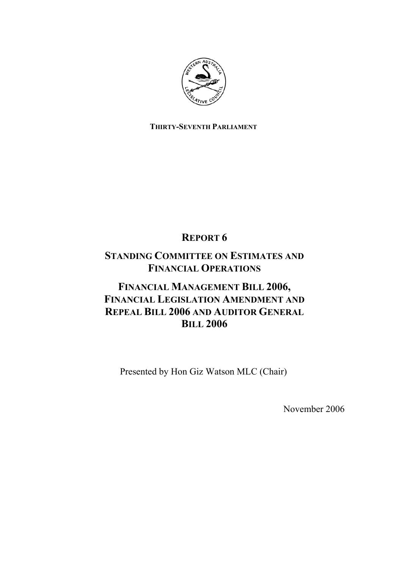

# **THIRTY-SEVENTH PARLIAMENT**

# **REPORT 6**

# **STANDING COMMITTEE ON ESTIMATES AND FINANCIAL OPERATIONS**

# **FINANCIAL MANAGEMENT BILL 2006, FINANCIAL LEGISLATION AMENDMENT AND REPEAL BILL 2006 AND AUDITOR GENERAL BILL 2006**

Presented by Hon Giz Watson MLC (Chair)

November 2006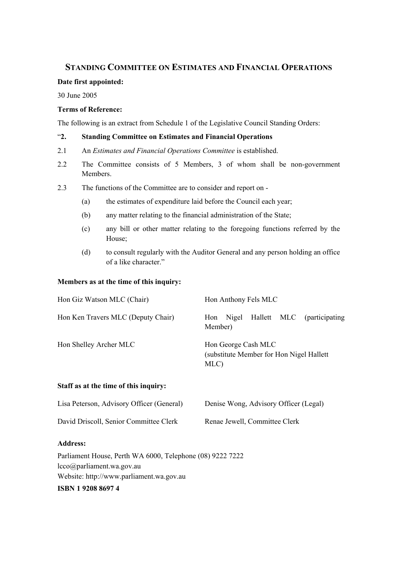# **STANDING COMMITTEE ON ESTIMATES AND FINANCIAL OPERATIONS**

# **Date first appointed:**

30 June 2005

# **Terms of Reference:**

The following is an extract from Schedule 1 of the Legislative Council Standing Orders:

# "**2. Standing Committee on Estimates and Financial Operations**

- 2.1 An *Estimates and Financial Operations Committee* is established.
- 2.2 The Committee consists of 5 Members, 3 of whom shall be non-government Members.
- 2.3 The functions of the Committee are to consider and report on
	- (a) the estimates of expenditure laid before the Council each year;
	- (b) any matter relating to the financial administration of the State;
	- (c) any bill or other matter relating to the foregoing functions referred by the House;
	- (d) to consult regularly with the Auditor General and any person holding an office of a like character."

# **Members as at the time of this inquiry:**

| Hon Giz Watson MLC (Chair)         | Hon Anthony Fels MLC                                                     |
|------------------------------------|--------------------------------------------------------------------------|
| Hon Ken Travers MLC (Deputy Chair) | Hallett MLC (participating<br>Nigel<br>Hon<br>Member)                    |
| Hon Shelley Archer MLC             | Hon George Cash MLC<br>(substitute Member for Hon Nigel Hallett)<br>MLC) |

# **Staff as at the time of this inquiry:**

| Lisa Peterson, Advisory Officer (General) | Denise Wong, Advisory Officer (Legal) |
|-------------------------------------------|---------------------------------------|
| David Driscoll, Senior Committee Clerk    | Renae Jewell, Committee Clerk         |

# **Address:**

Parliament House, Perth WA 6000, Telephone (08) 9222 7222 lcco@parliament.wa.gov.au Website: http://www.parliament.wa.gov.au

**ISBN 1 9208 8697 4**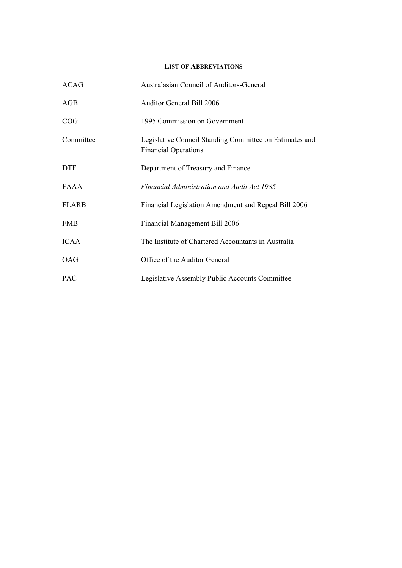### **LIST OF ABBREVIATIONS**

| ACAG         | Australasian Council of Auditors-General                                               |
|--------------|----------------------------------------------------------------------------------------|
| AGB          | <b>Auditor General Bill 2006</b>                                                       |
| COG          | 1995 Commission on Government                                                          |
| Committee    | Legislative Council Standing Committee on Estimates and<br><b>Financial Operations</b> |
| <b>DTF</b>   | Department of Treasury and Finance                                                     |
| <b>FAAA</b>  | Financial Administration and Audit Act 1985                                            |
| <b>FLARB</b> | Financial Legislation Amendment and Repeal Bill 2006                                   |
| <b>FMB</b>   | Financial Management Bill 2006                                                         |
| <b>ICAA</b>  | The Institute of Chartered Accountants in Australia                                    |
| <b>OAG</b>   | Office of the Auditor General                                                          |
| <b>PAC</b>   | Legislative Assembly Public Accounts Committee                                         |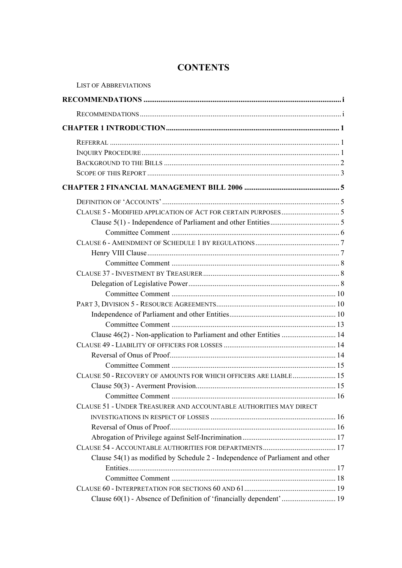| <b>CONTENTS</b> |
|-----------------|
|-----------------|

| <b>LIST OF ABBREVIATIONS</b>                                                  |  |
|-------------------------------------------------------------------------------|--|
|                                                                               |  |
|                                                                               |  |
|                                                                               |  |
|                                                                               |  |
|                                                                               |  |
|                                                                               |  |
|                                                                               |  |
|                                                                               |  |
|                                                                               |  |
|                                                                               |  |
|                                                                               |  |
|                                                                               |  |
|                                                                               |  |
|                                                                               |  |
|                                                                               |  |
|                                                                               |  |
|                                                                               |  |
|                                                                               |  |
|                                                                               |  |
|                                                                               |  |
|                                                                               |  |
| Clause 46(2) - Non-application to Parliament and other Entities  14           |  |
|                                                                               |  |
|                                                                               |  |
|                                                                               |  |
| CLAUSE 50 - RECOVERY OF AMOUNTS FOR WHICH OFFICERS ARE LIABLE 15              |  |
|                                                                               |  |
|                                                                               |  |
| CLAUSE 51 - UNDER TREASURER AND ACCOUNTABLE AUTHORITIES MAY DIRECT            |  |
|                                                                               |  |
|                                                                               |  |
|                                                                               |  |
|                                                                               |  |
| Clause 54(1) as modified by Schedule 2 - Independence of Parliament and other |  |
|                                                                               |  |
|                                                                               |  |
|                                                                               |  |
|                                                                               |  |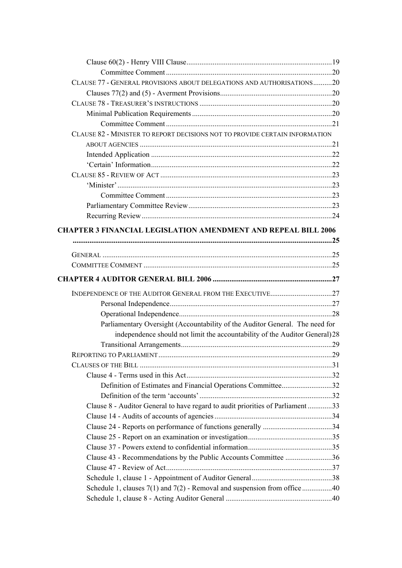| CLAUSE 77 - GENERAL PROVISIONS ABOUT DELEGATIONS AND AUTHORISATIONS20         |  |
|-------------------------------------------------------------------------------|--|
|                                                                               |  |
|                                                                               |  |
|                                                                               |  |
|                                                                               |  |
| CLAUSE 82 - MINISTER TO REPORT DECISIONS NOT TO PROVIDE CERTAIN INFORMATION   |  |
|                                                                               |  |
|                                                                               |  |
|                                                                               |  |
|                                                                               |  |
|                                                                               |  |
|                                                                               |  |
|                                                                               |  |
|                                                                               |  |
| <b>CHAPTER 3 FINANCIAL LEGISLATION AMENDMENT AND REPEAL BILL 2006</b>         |  |
|                                                                               |  |
|                                                                               |  |
|                                                                               |  |
|                                                                               |  |
|                                                                               |  |
|                                                                               |  |
|                                                                               |  |
|                                                                               |  |
| Parliamentary Oversight (Accountability of the Auditor General. The need for  |  |
| independence should not limit the accountability of the Auditor General) 28   |  |
|                                                                               |  |
|                                                                               |  |
|                                                                               |  |
|                                                                               |  |
| Definition of Estimates and Financial Operations Committee32                  |  |
|                                                                               |  |
| Clause 8 - Auditor General to have regard to audit priorities of Parliament33 |  |
|                                                                               |  |
|                                                                               |  |
|                                                                               |  |
|                                                                               |  |
| Clause 43 - Recommendations by the Public Accounts Committee 36               |  |
|                                                                               |  |
|                                                                               |  |
| Schedule 1, clauses 7(1) and 7(2) - Removal and suspension from office 40     |  |
|                                                                               |  |
|                                                                               |  |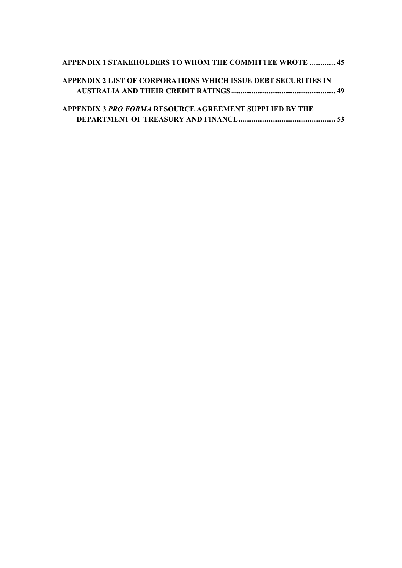| <b>APPENDIX 1 STAKEHOLDERS TO WHOM THE COMMITTEE WROTE  45</b>        |  |
|-----------------------------------------------------------------------|--|
| <b>APPENDIX 2 LIST OF CORPORATIONS WHICH ISSUE DEBT SECURITIES IN</b> |  |
|                                                                       |  |
| <b>APPENDIX 3 PRO FORMA RESOURCE AGREEMENT SUPPLIED BY THE</b>        |  |
|                                                                       |  |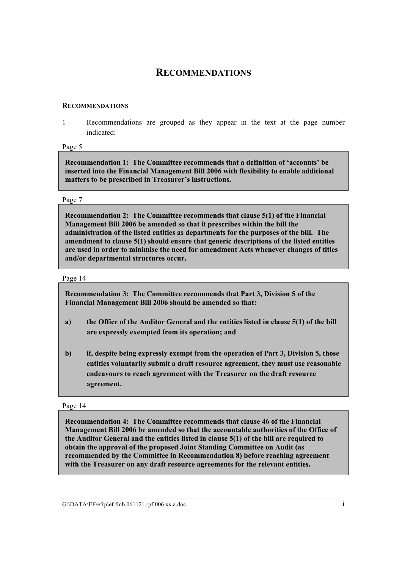# **RECOMMENDATIONS**

# **RECOMMENDATIONS**

1 Recommendations are grouped as they appear in the text at the page number indicated:

Page 5

**Recommendation 1: The Committee recommends that a definition of 'accounts' be inserted into the Financial Management Bill 2006 with flexibility to enable additional matters to be prescribed in Treasurer's instructions.** 

# Page 7

**Recommendation 2: The Committee recommends that clause 5(1) of the Financial Management Bill 2006 be amended so that it prescribes within the bill the administration of the listed entities as departments for the purposes of the bill. The amendment to clause 5(1) should ensure that generic descriptions of the listed entities are used in order to minimise the need for amendment Acts whenever changes of titles and/or departmental structures occur.** 

# Page 14

**Recommendation 3: The Committee recommends that Part 3, Division 5 of the Financial Management Bill 2006 should be amended so that:** 

- **a) the Office of the Auditor General and the entities listed in clause 5(1) of the bill are expressly exempted from its operation; and**
- **b) if, despite being expressly exempt from the operation of Part 3, Division 5, those entities voluntarily submit a draft resource agreement, they must use reasonable endeavours to reach agreement with the Treasurer on the draft resource agreement.**

# Page 14

**Recommendation 4: The Committee recommends that clause 46 of the Financial Management Bill 2006 be amended so that the accountable authorities of the Office of the Auditor General and the entities listed in clause 5(1) of the bill are required to obtain the approval of the proposed Joint Standing Committee on Audit (as recommended by the Committee in Recommendation 8) before reaching agreement with the Treasurer on any draft resource agreements for the relevant entities.**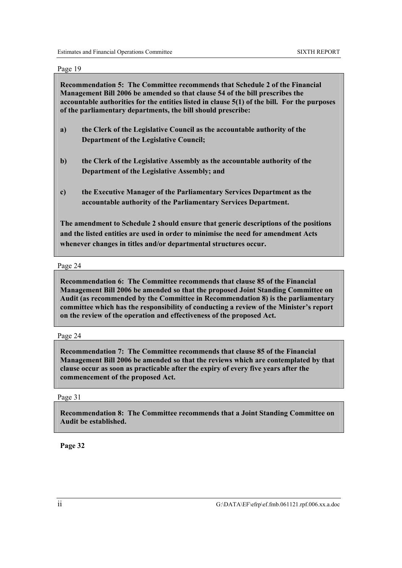| <b>Recommendation 5: The Committee recommends that Schedule 2 of the Financial</b><br>Management Bill 2006 be amended so that clause 54 of the bill prescribes the<br>accountable authorities for the entities listed in clause 5(1) of the bill. For the purposes<br>of the parliamentary departments, the bill should prescribe: |                                                                                                                                                                           |
|------------------------------------------------------------------------------------------------------------------------------------------------------------------------------------------------------------------------------------------------------------------------------------------------------------------------------------|---------------------------------------------------------------------------------------------------------------------------------------------------------------------------|
| a)                                                                                                                                                                                                                                                                                                                                 | the Clerk of the Legislative Council as the accountable authority of the                                                                                                  |
|                                                                                                                                                                                                                                                                                                                                    | <b>Department of the Legislative Council;</b>                                                                                                                             |
| $\mathbf{b}$                                                                                                                                                                                                                                                                                                                       | the Clerk of the Legislative Assembly as the accountable authority of the                                                                                                 |
|                                                                                                                                                                                                                                                                                                                                    | Department of the Legislative Assembly; and                                                                                                                               |
|                                                                                                                                                                                                                                                                                                                                    | the Executive Manager of the Parliamentary Services Department as the                                                                                                     |
| c)                                                                                                                                                                                                                                                                                                                                 | accountable authority of the Parliamentary Services Department.                                                                                                           |
|                                                                                                                                                                                                                                                                                                                                    | The amendment to Schedule 2 should ensure that generic descriptions of the positions<br>and the listed entities are used in order to minimise the need for amendment Acts |

#### Page 24

Page 19

**Recommendation 6: The Committee recommends that clause 85 of the Financial Management Bill 2006 be amended so that the proposed Joint Standing Committee on Audit (as recommended by the Committee in Recommendation 8) is the parliamentary committee which has the responsibility of conducting a review of the Minister's report on the review of the operation and effectiveness of the proposed Act.** 

**whenever changes in titles and/or departmental structures occur.** 

## Page 24

**Recommendation 7: The Committee recommends that clause 85 of the Financial Management Bill 2006 be amended so that the reviews which are contemplated by that clause occur as soon as practicable after the expiry of every five years after the commencement of the proposed Act.** 

### Page 31

**Recommendation 8: The Committee recommends that a Joint Standing Committee on Audit be established.** 

# **Page 32**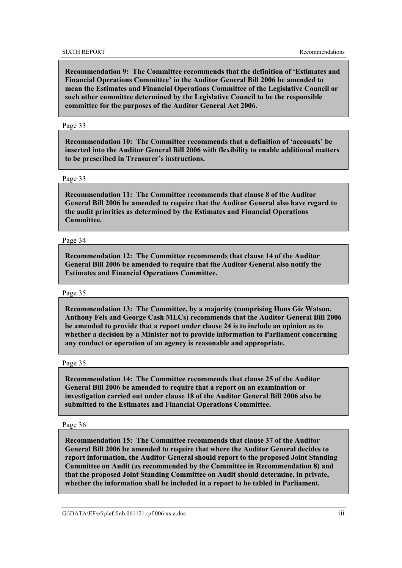**Recommendation 9: The Committee recommends that the definition of 'Estimates and Financial Operations Committee' in the Auditor General Bill 2006 be amended to mean the Estimates and Financial Operations Committee of the Legislative Council or such other committee determined by the Legislative Council to be the responsible committee for the purposes of the Auditor General Act 2006.** 

#### Page 33

**Recommendation 10: The Committee recommends that a definition of 'accounts' be inserted into the Auditor General Bill 2006 with flexibility to enable additional matters to be prescribed in Treasurer's instructions.** 

#### Page 33

**Recommendation 11: The Committee recommends that clause 8 of the Auditor General Bill 2006 be amended to require that the Auditor General also have regard to the audit priorities as determined by the Estimates and Financial Operations Committee.** 

#### Page 34

**Recommendation 12: The Committee recommends that clause 14 of the Auditor General Bill 2006 be amended to require that the Auditor General also notify the Estimates and Financial Operations Committee.** 

#### Page 35

**Recommendation 13: The Committee, by a majority (comprising Hons Giz Watson, Anthony Fels and George Cash MLCs) recommends that the Auditor General Bill 2006 be amended to provide that a report under clause 24 is to include an opinion as to whether a decision by a Minister not to provide information to Parliament concerning any conduct or operation of an agency is reasonable and appropriate.** 

#### Page 35

**Recommendation 14: The Committee recommends that clause 25 of the Auditor General Bill 2006 be amended to require that a report on an examination or investigation carried out under clause 18 of the Auditor General Bill 2006 also be submitted to the Estimates and Financial Operations Committee.** 

#### Page 36

**Recommendation 15: The Committee recommends that clause 37 of the Auditor General Bill 2006 be amended to require that where the Auditor General decides to report information, the Auditor General should report to the proposed Joint Standing Committee on Audit (as recommended by the Committee in Recommendation 8) and that the proposed Joint Standing Committee on Audit should determine, in private, whether the information shall be included in a report to be tabled in Parliament.**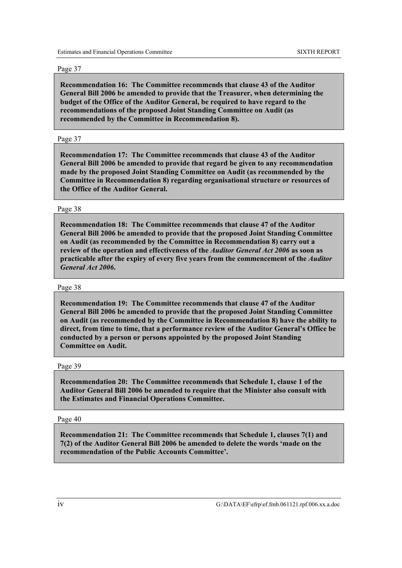#### Page 37

**Recommendation 16: The Committee recommends that clause 43 of the Auditor General Bill 2006 be amended to provide that the Treasurer, when determining the budget of the Office of the Auditor General, be required to have regard to the recommendations of the proposed Joint Standing Committee on Audit (as recommended by the Committee in Recommendation 8).** 

#### Page 37

**Recommendation 17: The Committee recommends that clause 43 of the Auditor General Bill 2006 be amended to provide that regard be given to any recommendation made by the proposed Joint Standing Committee on Audit (as recommended by the Committee in Recommendation 8) regarding organisational structure or resources of the Office of the Auditor General.** 

#### Page 38

**Recommendation 18: The Committee recommends that clause 47 of the Auditor General Bill 2006 be amended to provide that the proposed Joint Standing Committee on Audit (as recommended by the Committee in Recommendation 8) carry out a review of the operation and effectiveness of the** *Auditor General Act 2006* **as soon as practicable after the expiry of every five years from the commencement of the** *Auditor General Act 2006***.** 

#### Page 38

**Recommendation 19: The Committee recommends that clause 47 of the Auditor General Bill 2006 be amended to provide that the proposed Joint Standing Committee on Audit (as recommended by the Committee in Recommendation 8) have the ability to direct, from time to time, that a performance review of the Auditor General's Office be conducted by a person or persons appointed by the proposed Joint Standing Committee on Audit.** 

#### Page 39

**Recommendation 20: The Committee recommends that Schedule 1, clause 1 of the Auditor General Bill 2006 be amended to require that the Minister also consult with the Estimates and Financial Operations Committee.** 

#### Page 40

**Recommendation 21: The Committee recommends that Schedule 1, clauses 7(1) and 7(2) of the Auditor General Bill 2006 be amended to delete the words 'made on the recommendation of the Public Accounts Committee'.**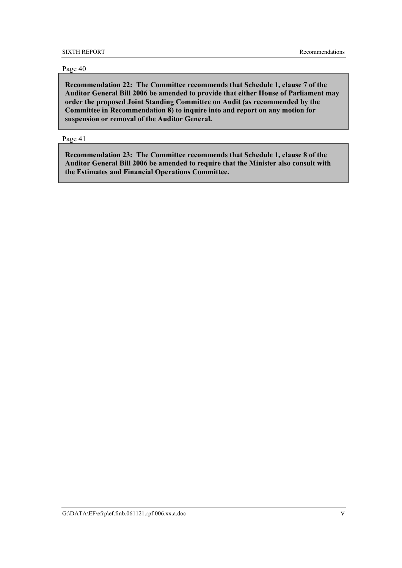## Page 40

**Recommendation 22: The Committee recommends that Schedule 1, clause 7 of the Auditor General Bill 2006 be amended to provide that either House of Parliament may order the proposed Joint Standing Committee on Audit (as recommended by the Committee in Recommendation 8) to inquire into and report on any motion for suspension or removal of the Auditor General.** 

## Page 41

**Recommendation 23: The Committee recommends that Schedule 1, clause 8 of the Auditor General Bill 2006 be amended to require that the Minister also consult with the Estimates and Financial Operations Committee.**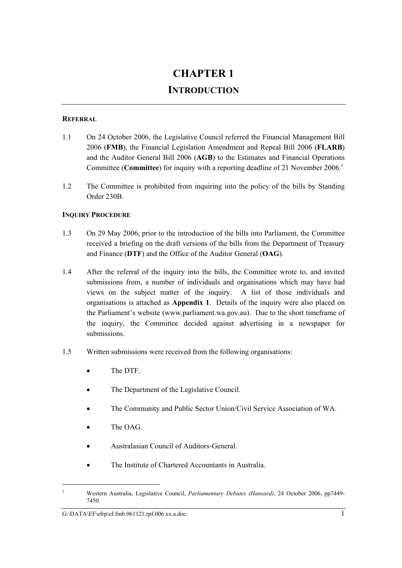# **CHAPTER 1 INTRODUCTION**

# **REFERRAL**

- 1.1 On 24 October 2006, the Legislative Council referred the Financial Management Bill 2006 (**FMB**), the Financial Legislation Amendment and Repeal Bill 2006 (**FLARB**) and the Auditor General Bill 2006 (**AGB**) to the Estimates and Financial Operations Committee (**Committee**) for inquiry with a reporting deadline of 21 November 2006.<sup>1</sup>
- 1.2 The Committee is prohibited from inquiring into the policy of the bills by Standing Order 230B.

# **INQUIRY PROCEDURE**

- 1.3 On 29 May 2006, prior to the introduction of the bills into Parliament, the Committee received a briefing on the draft versions of the bills from the Department of Treasury and Finance (**DTF**) and the Office of the Auditor General (**OAG**).
- 1.4 After the referral of the inquiry into the bills, the Committee wrote to, and invited submissions from, a number of individuals and organisations which may have had views on the subject matter of the inquiry. A list of those individuals and organisations is attached as **Appendix 1**. Details of the inquiry were also placed on the Parliament's website (www.parliament.wa.gov.au). Due to the short timeframe of the inquiry, the Committee decided against advertising in a newspaper for submissions.
- 1.5 Written submissions were received from the following organisations:
	- The DTF.
	- The Department of the Legislative Council.
	- The Community and Public Sector Union/Civil Service Association of WA.
	- The OAG.

- Australasian Council of Auditors-General.
- The Institute of Chartered Accountants in Australia.

<sup>1</sup> Western Australia, Legislative Council, *Parliamentary Debates (Hansard)*, 24 October 2006, pp7449- 7450.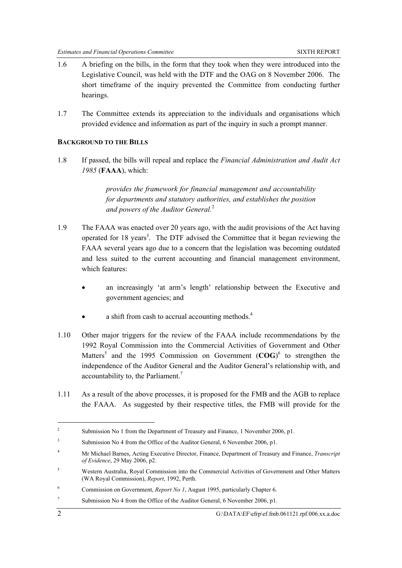- 1.6 A briefing on the bills, in the form that they took when they were introduced into the Legislative Council, was held with the DTF and the OAG on 8 November 2006. The short timeframe of the inquiry prevented the Committee from conducting further hearings.
- 1.7 The Committee extends its appreciation to the individuals and organisations which provided evidence and information as part of the inquiry in such a prompt manner.

# **BACKGROUND TO THE BILLS**

1.8 If passed, the bills will repeal and replace the *Financial Administration and Audit Act 1985* (**FAAA**), which:

> *provides the framework for financial management and accountability for departments and statutory authorities, and establishes the position and powers of the Auditor General.*<sup>2</sup>

- 1.9 The FAAA was enacted over 20 years ago, with the audit provisions of the Act having operated for 18 years<sup>3</sup>. The DTF advised the Committee that it began reviewing the FAAA several years ago due to a concern that the legislation was becoming outdated and less suited to the current accounting and financial management environment, which features:
	- an increasingly 'at arm's length' relationship between the Executive and government agencies; and
	- a shift from cash to accrual accounting methods.<sup>4</sup>
- 1.10 Other major triggers for the review of the FAAA include recommendations by the 1992 Royal Commission into the Commercial Activities of Government and Other Matters<sup>5</sup> and the 1995 Commission on Government (COG)<sup>6</sup> to strengthen the independence of the Auditor General and the Auditor General's relationship with, and accountability to, the Parliament.<sup>7</sup>
- 1.11 As a result of the above processes, it is proposed for the FMB and the AGB to replace the FAAA. As suggested by their respective titles, the FMB will provide for the

<sup>2</sup> Submission No 1 from the Department of Treasury and Finance, 1 November 2006, p1.

<sup>3</sup> Submission No 4 from the Office of the Auditor General, 6 November 2006, p1.

<sup>4</sup> Mr Michael Barnes, Acting Executive Director, Finance, Department of Treasury and Finance, *Transcript of Evidence*, 29 May 2006, p2.

<sup>5</sup> Western Australia, Royal Commission into the Commercial Activities of Government and Other Matters (WA Royal Commission), *Report*, 1992, Perth.

<sup>6</sup> Commission on Government, *Report No 1*, August 1995, particularly Chapter 6.

<sup>7</sup> Submission No 4 from the Office of the Auditor General, 6 November 2006, p1.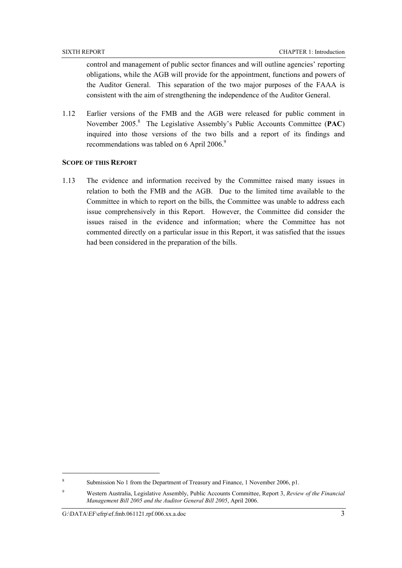control and management of public sector finances and will outline agencies' reporting obligations, while the AGB will provide for the appointment, functions and powers of the Auditor General. This separation of the two major purposes of the FAAA is consistent with the aim of strengthening the independence of the Auditor General.

1.12 Earlier versions of the FMB and the AGB were released for public comment in November 2005.<sup>8</sup> The Legislative Assembly's Public Accounts Committee (PAC) inquired into those versions of the two bills and a report of its findings and recommendations was tabled on 6 April 2006. $9$ 

#### **SCOPE OF THIS REPORT**

1.13 The evidence and information received by the Committee raised many issues in relation to both the FMB and the AGB. Due to the limited time available to the Committee in which to report on the bills, the Committee was unable to address each issue comprehensively in this Report. However, the Committee did consider the issues raised in the evidence and information; where the Committee has not commented directly on a particular issue in this Report, it was satisfied that the issues had been considered in the preparation of the bills.

<sup>8</sup> Submission No 1 from the Department of Treasury and Finance, 1 November 2006, p1.

<sup>9</sup> Western Australia, Legislative Assembly, Public Accounts Committee, Report 3, *Review of the Financial Management Bill 2005 and the Auditor General Bill 2005*, April 2006.

G: $\Delta\text{EF\leftarrow}$ frp $\setminus$ ef.fmb.061121.rpf.006.xx.a.doc 3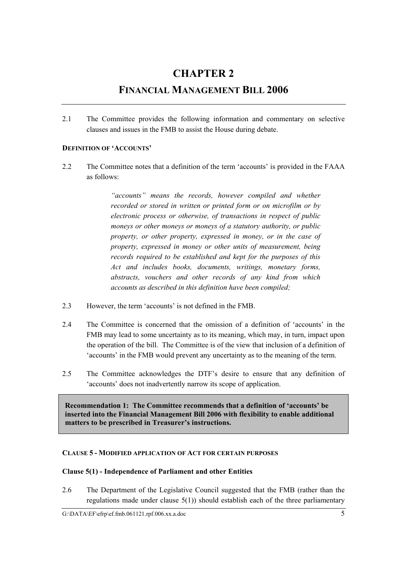# **CHAPTER 2**

# **FINANCIAL MANAGEMENT BILL 2006**

2.1 The Committee provides the following information and commentary on selective clauses and issues in the FMB to assist the House during debate.

# **DEFINITION OF 'ACCOUNTS'**

2.2 The Committee notes that a definition of the term 'accounts' is provided in the FAAA as follows:

> *"accounts" means the records, however compiled and whether recorded or stored in written or printed form or on microfilm or by electronic process or otherwise, of transactions in respect of public moneys or other moneys or moneys of a statutory authority, or public property, or other property, expressed in money, or in the case of property, expressed in money or other units of measurement, being records required to be established and kept for the purposes of this Act and includes books, documents, writings, monetary forms, abstracts, vouchers and other records of any kind from which accounts as described in this definition have been compiled;*

- 2.3 However, the term 'accounts' is not defined in the FMB.
- 2.4 The Committee is concerned that the omission of a definition of 'accounts' in the FMB may lead to some uncertainty as to its meaning, which may, in turn, impact upon the operation of the bill. The Committee is of the view that inclusion of a definition of 'accounts' in the FMB would prevent any uncertainty as to the meaning of the term.
- 2.5 The Committee acknowledges the DTF's desire to ensure that any definition of 'accounts' does not inadvertently narrow its scope of application.

**Recommendation 1: The Committee recommends that a definition of 'accounts' be inserted into the Financial Management Bill 2006 with flexibility to enable additional matters to be prescribed in Treasurer's instructions.** 

# **CLAUSE 5 - MODIFIED APPLICATION OF ACT FOR CERTAIN PURPOSES**

# **Clause 5(1) - Independence of Parliament and other Entities**

2.6 The Department of the Legislative Council suggested that the FMB (rather than the regulations made under clause  $5(1)$ ) should establish each of the three parliamentary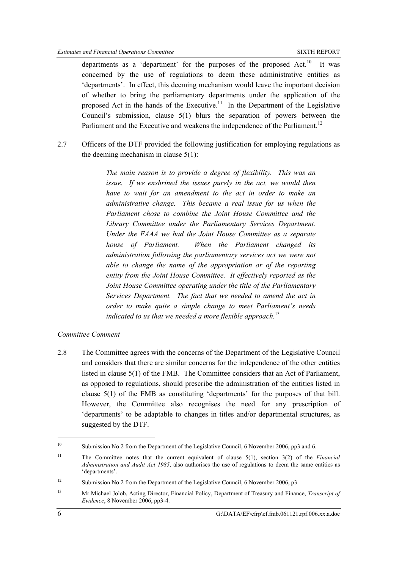departments as a 'department' for the purposes of the proposed Act.<sup>10</sup> It was concerned by the use of regulations to deem these administrative entities as 'departments'. In effect, this deeming mechanism would leave the important decision of whether to bring the parliamentary departments under the application of the proposed Act in the hands of the Executive.<sup>11</sup> In the Department of the Legislative Council's submission, clause 5(1) blurs the separation of powers between the Parliament and the Executive and weakens the independence of the Parliament.<sup>12</sup>

2.7 Officers of the DTF provided the following justification for employing regulations as the deeming mechanism in clause 5(1):

> *The main reason is to provide a degree of flexibility. This was an issue. If we enshrined the issues purely in the act, we would then have to wait for an amendment to the act in order to make an administrative change. This became a real issue for us when the Parliament chose to combine the Joint House Committee and the Library Committee under the Parliamentary Services Department. Under the FAAA we had the Joint House Committee as a separate house of Parliament. When the Parliament changed its administration following the parliamentary services act we were not able to change the name of the appropriation or of the reporting entity from the Joint House Committee. It effectively reported as the Joint House Committee operating under the title of the Parliamentary Services Department. The fact that we needed to amend the act in order to make quite a simple change to meet Parliament's needs indicated to us that we needed a more flexible approach.*<sup>13</sup>

# *Committee Comment*

2.8 The Committee agrees with the concerns of the Department of the Legislative Council and considers that there are similar concerns for the independence of the other entities listed in clause 5(1) of the FMB. The Committee considers that an Act of Parliament, as opposed to regulations, should prescribe the administration of the entities listed in clause 5(1) of the FMB as constituting 'departments' for the purposes of that bill. However, the Committee also recognises the need for any prescription of 'departments' to be adaptable to changes in titles and/or departmental structures, as suggested by the DTF.

<sup>&</sup>lt;sup>10</sup> Submission No 2 from the Department of the Legislative Council, 6 November 2006, pp3 and 6.

<sup>11</sup> The Committee notes that the current equivalent of clause 5(1), section 3(2) of the *Financial Administration and Audit Act 1985*, also authorises the use of regulations to deem the same entities as 'departments'.

<sup>&</sup>lt;sup>12</sup> Submission No 2 from the Department of the Legislative Council, 6 November 2006, p3.

<sup>13</sup> Mr Michael Jolob, Acting Director, Financial Policy, Department of Treasury and Finance, *Transcript of Evidence*, 8 November 2006, pp3-4.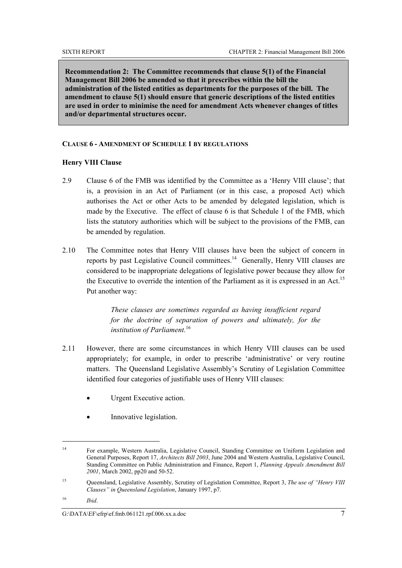**Recommendation 2: The Committee recommends that clause 5(1) of the Financial Management Bill 2006 be amended so that it prescribes within the bill the administration of the listed entities as departments for the purposes of the bill. The amendment to clause 5(1) should ensure that generic descriptions of the listed entities are used in order to minimise the need for amendment Acts whenever changes of titles and/or departmental structures occur.** 

# **CLAUSE 6 - AMENDMENT OF SCHEDULE 1 BY REGULATIONS**

# **Henry VIII Clause**

- 2.9 Clause 6 of the FMB was identified by the Committee as a 'Henry VIII clause'; that is, a provision in an Act of Parliament (or in this case, a proposed Act) which authorises the Act or other Acts to be amended by delegated legislation, which is made by the Executive. The effect of clause 6 is that Schedule 1 of the FMB, which lists the statutory authorities which will be subject to the provisions of the FMB, can be amended by regulation.
- 2.10 The Committee notes that Henry VIII clauses have been the subject of concern in reports by past Legislative Council committees.<sup>14</sup> Generally, Henry VIII clauses are considered to be inappropriate delegations of legislative power because they allow for the Executive to override the intention of the Parliament as it is expressed in an Act.<sup>15</sup> Put another way:

*These clauses are sometimes regarded as having insufficient regard for the doctrine of separation of powers and ultimately, for the institution of Parliament.*<sup>16</sup>

- 2.11 However, there are some circumstances in which Henry VIII clauses can be used appropriately; for example, in order to prescribe 'administrative' or very routine matters. The Queensland Legislative Assembly's Scrutiny of Legislation Committee identified four categories of justifiable uses of Henry VIII clauses:
	- Urgent Executive action.
	- Innovative legislation.

<sup>14</sup> For example, Western Australia, Legislative Council, Standing Committee on Uniform Legislation and General Purposes, Report 17, *Architects Bill 2003*, June 2004 and Western Australia, Legislative Council, Standing Committee on Public Administration and Finance, Report 1, *Planning Appeals Amendment Bill 2001*, March 2002, pp20 and 50-52.

<sup>15</sup> Queensland, Legislative Assembly, Scrutiny of Legislation Committee, Report 3, *The use of "Henry VIII Clauses" in Queensland Legislation*, January 1997, p7.

<sup>16</sup> *Ibid*.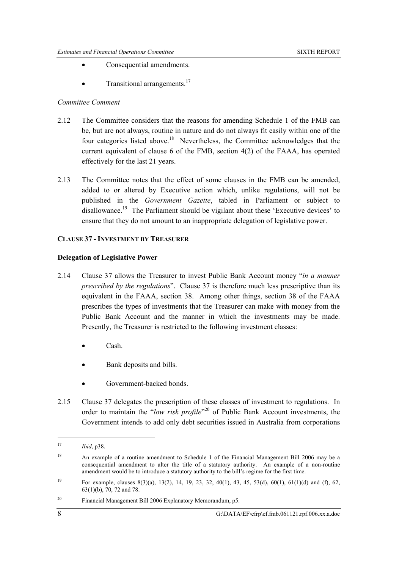- Consequential amendments.
- Transitional arrangements.<sup>17</sup>

# *Committee Comment*

- 2.12 The Committee considers that the reasons for amending Schedule 1 of the FMB can be, but are not always, routine in nature and do not always fit easily within one of the four categories listed above.18 Nevertheless, the Committee acknowledges that the current equivalent of clause 6 of the FMB, section 4(2) of the FAAA, has operated effectively for the last 21 years.
- 2.13 The Committee notes that the effect of some clauses in the FMB can be amended, added to or altered by Executive action which, unlike regulations, will not be published in the *Government Gazette*, tabled in Parliament or subject to disallowance.19 The Parliament should be vigilant about these 'Executive devices' to ensure that they do not amount to an inappropriate delegation of legislative power.

### **CLAUSE 37 - INVESTMENT BY TREASURER**

### **Delegation of Legislative Power**

- 2.14 Clause 37 allows the Treasurer to invest Public Bank Account money "*in a manner prescribed by the regulations*". Clause 37 is therefore much less prescriptive than its equivalent in the FAAA, section 38. Among other things, section 38 of the FAAA prescribes the types of investments that the Treasurer can make with money from the Public Bank Account and the manner in which the investments may be made. Presently, the Treasurer is restricted to the following investment classes:
	- Cash.
	- Bank deposits and bills.
	- Government-backed bonds.
- 2.15 Clause 37 delegates the prescription of these classes of investment to regulations. In order to maintain the "*low risk profile*" 20 of Public Bank Account investments, the Government intends to add only debt securities issued in Australia from corporations

<sup>17</sup> *Ibid*, p38.

<sup>&</sup>lt;sup>18</sup> An example of a routine amendment to Schedule 1 of the Financial Management Bill 2006 may be a consequential amendment to alter the title of a statutory authority. An example of a non-routine amendment would be to introduce a statutory authority to the bill's regime for the first time.

<sup>19</sup> For example, clauses 8(3)(a), 13(2), 14, 19, 23, 32, 40(1), 43, 45, 53(d), 60(1), 61(1)(d) and (f), 62, 63(1)(b), 70, 72 and 78.

<sup>20</sup> Financial Management Bill 2006 Explanatory Memorandum, p5.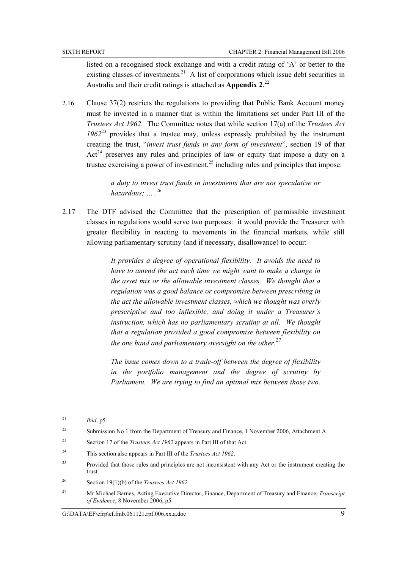listed on a recognised stock exchange and with a credit rating of 'A' or better to the existing classes of investments.<sup>21</sup> A list of corporations which issue debt securities in Australia and their credit ratings is attached as **Appendix 2**. 22

2.16 Clause 37(2) restricts the regulations to providing that Public Bank Account money must be invested in a manner that is within the limitations set under Part III of the *Trustees Act 1962*. The Committee notes that while section 17(a) of the *Trustees Act 1962*23 provides that a trustee may, unless expressly prohibited by the instrument creating the trust, "*invest trust funds in any form of investment*", section 19 of that  $Act<sup>24</sup>$  preserves any rules and principles of law or equity that impose a duty on a trustee exercising a power of investment.<sup>25</sup> including rules and principles that impose:

> *a duty to invest trust funds in investments that are not speculative or hazardous; … .*<sup>26</sup>

2.17 The DTF advised the Committee that the prescription of permissible investment classes in regulations would serve two purposes: it would provide the Treasurer with greater flexibility in reacting to movements in the financial markets, while still allowing parliamentary scrutiny (and if necessary, disallowance) to occur:

> *It provides a degree of operational flexibility. It avoids the need to have to amend the act each time we might want to make a change in the asset mix or the allowable investment classes. We thought that a regulation was a good balance or compromise between prescribing in the act the allowable investment classes, which we thought was overly prescriptive and too inflexible, and doing it under a Treasurer's instruction, which has no parliamentary scrutiny at all. We thought that a regulation provided a good compromise between flexibility on the one hand and parliamentary oversight on the other.*<sup>27</sup>

> *The issue comes down to a trade-off between the degree of flexibility in the portfolio management and the degree of scrutiny by Parliament. We are trying to find an optimal mix between those two.*

<sup>21</sup> *Ibid*, p5.

<sup>&</sup>lt;sup>22</sup> Submission No 1 from the Department of Treasury and Finance, 1 November 2006, Attachment A.

<sup>23</sup> Section 17 of the *Trustees Act 1962* appears in Part III of that Act.

<sup>24</sup> This section also appears in Part III of the *Trustees Act 1962*.

<sup>&</sup>lt;sup>25</sup> Provided that those rules and principles are not inconsistent with any Act or the instrument creating the trust.

<sup>26</sup> Section 19(1)(b) of the *Trustees Act 1962*.

<sup>27</sup> Mr Michael Barnes, Acting Executive Director, Finance, Department of Treasury and Finance, *Transcript of Evidence*, 8 November 2006, p5.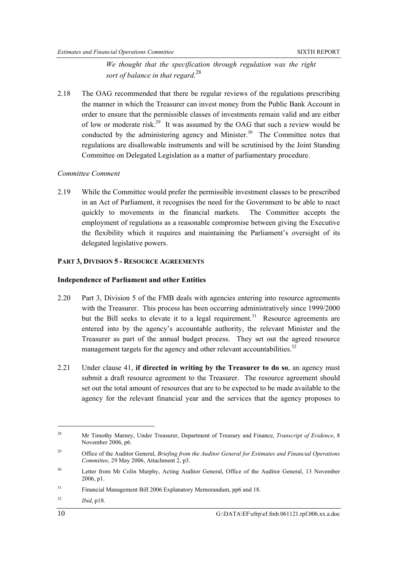*We thought that the specification through regulation was the right sort of balance in that regard.*<sup>28</sup>

2.18 The OAG recommended that there be regular reviews of the regulations prescribing the manner in which the Treasurer can invest money from the Public Bank Account in order to ensure that the permissible classes of investments remain valid and are either of low or moderate risk.<sup>29</sup> It was assumed by the OAG that such a review would be conducted by the administering agency and Minister.<sup>30</sup> The Committee notes that regulations are disallowable instruments and will be scrutinised by the Joint Standing Committee on Delegated Legislation as a matter of parliamentary procedure.

# *Committee Comment*

2.19 While the Committee would prefer the permissible investment classes to be prescribed in an Act of Parliament, it recognises the need for the Government to be able to react quickly to movements in the financial markets. The Committee accepts the employment of regulations as a reasonable compromise between giving the Executive the flexibility which it requires and maintaining the Parliament's oversight of its delegated legislative powers.

# **PART 3, DIVISION 5 - RESOURCE AGREEMENTS**

# **Independence of Parliament and other Entities**

- 2.20 Part 3, Division 5 of the FMB deals with agencies entering into resource agreements with the Treasurer. This process has been occurring administratively since 1999/2000 but the Bill seeks to elevate it to a legal requirement.<sup>31</sup> Resource agreements are entered into by the agency's accountable authority, the relevant Minister and the Treasurer as part of the annual budget process. They set out the agreed resource management targets for the agency and other relevant accountabilities.<sup>32</sup>
- 2.21 Under clause 41, **if directed in writing by the Treasurer to do so**, an agency must submit a draft resource agreement to the Treasurer. The resource agreement should set out the total amount of resources that are to be expected to be made available to the agency for the relevant financial year and the services that the agency proposes to

<sup>28</sup> Mr Timothy Marney, Under Treasurer, Department of Treasury and Finance, *Transcript of Evidence*, 8 November 2006, p6.

<sup>29</sup> Office of the Auditor General, *Briefing from the Auditor General for Estimates and Financial Operations Committee*, 29 May 2006, Attachment 2, p3.

<sup>&</sup>lt;sup>30</sup> Letter from Mr Colin Murphy, Acting Auditor General, Office of the Auditor General, 13 November 2006, p1.

<sup>&</sup>lt;sup>31</sup> Financial Management Bill 2006 Explanatory Memorandum, pp6 and 18.

<sup>32</sup> *Ibid*, p18.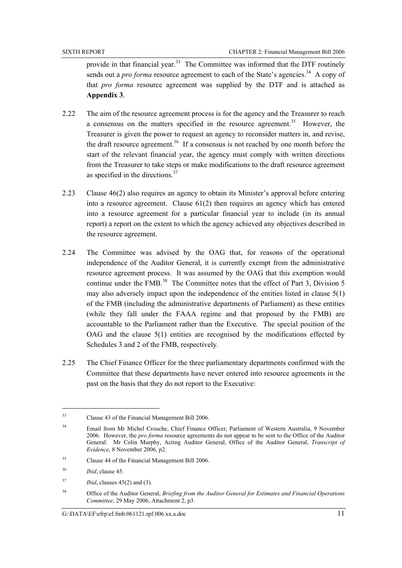provide in that financial year.<sup>33</sup> The Committee was informed that the DTF routinely sends out a *pro forma* resource agreement to each of the State's agencies.<sup>34</sup> A copy of that *pro forma* resource agreement was supplied by the DTF and is attached as **Appendix 3**.

- 2.22 The aim of the resource agreement process is for the agency and the Treasurer to reach a consensus on the matters specified in the resource agreement.<sup>35</sup> However, the Treasurer is given the power to request an agency to reconsider matters in, and revise, the draft resource agreement.<sup>36</sup> If a consensus is not reached by one month before the start of the relevant financial year, the agency must comply with written directions from the Treasurer to take steps or make modifications to the draft resource agreement as specified in the directions.<sup>37</sup>
- 2.23 Clause 46(2) also requires an agency to obtain its Minister's approval before entering into a resource agreement. Clause  $61(2)$  then requires an agency which has entered into a resource agreement for a particular financial year to include (in its annual report) a report on the extent to which the agency achieved any objectives described in the resource agreement.
- 2.24 The Committee was advised by the OAG that, for reasons of the operational independence of the Auditor General, it is currently exempt from the administrative resource agreement process. It was assumed by the OAG that this exemption would continue under the FMB. $^{38}$  The Committee notes that the effect of Part 3, Division 5 may also adversely impact upon the independence of the entities listed in clause 5(1) of the FMB (including the administrative departments of Parliament) as these entities (while they fall under the FAAA regime and that proposed by the FMB) are accountable to the Parliament rather than the Executive. The special position of the OAG and the clause 5(1) entities are recognised by the modifications effected by Schedules 3 and 2 of the FMB, respectively.
- 2.25 The Chief Finance Officer for the three parliamentary departments confirmed with the Committee that these departments have never entered into resource agreements in the past on the basis that they do not report to the Executive:

<sup>33</sup> Clause 43 of the Financial Management Bill 2006.

<sup>&</sup>lt;sup>34</sup> Email from Mr Michel Crouche, Chief Finance Officer, Parliament of Western Australia, 9 November 2006. However, the *pro forma* resource agreements do not appear to be sent to the Office of the Auditor General: Mr Colin Murphy, Acting Auditor General, Office of the Auditor General, *Transcript of Evidence*, 8 November 2006, p2.

<sup>35</sup> Clause 44 of the Financial Management Bill 2006.

<sup>36</sup> *Ibid*, clause 45.

 $15^{37}$  *Ibid*, clauses  $45(2)$  and  $(3)$ .

<sup>38</sup> Office of the Auditor General, *Briefing from the Auditor General for Estimates and Financial Operations Committee*, 29 May 2006, Attachment 2, p3.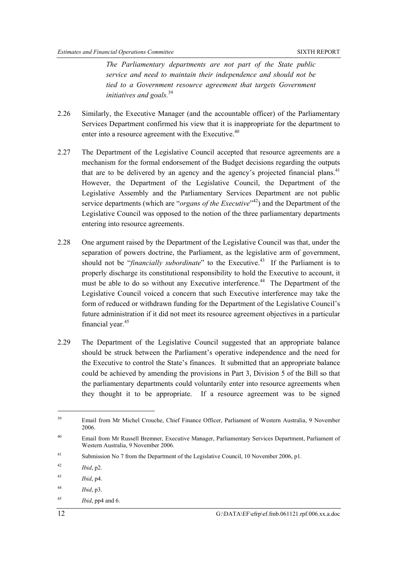*The Parliamentary departments are not part of the State public service and need to maintain their independence and should not be tied to a Government resource agreement that targets Government initiatives and goals.*<sup>39</sup>

- 2.26 Similarly, the Executive Manager (and the accountable officer) of the Parliamentary Services Department confirmed his view that it is inappropriate for the department to enter into a resource agreement with the Executive.<sup>40</sup>
- 2.27 The Department of the Legislative Council accepted that resource agreements are a mechanism for the formal endorsement of the Budget decisions regarding the outputs that are to be delivered by an agency and the agency's projected financial plans.<sup>41</sup> However, the Department of the Legislative Council, the Department of the Legislative Assembly and the Parliamentary Services Department are not public service departments (which are "*organs of the Executive*"<sup>42</sup>) and the Department of the Legislative Council was opposed to the notion of the three parliamentary departments entering into resource agreements.
- 2.28 One argument raised by the Department of the Legislative Council was that, under the separation of powers doctrine, the Parliament, as the legislative arm of government, should not be *"financially subordinate"* to the Executive.<sup>43</sup> If the Parliament is to properly discharge its constitutional responsibility to hold the Executive to account, it must be able to do so without any Executive interference.<sup>44</sup> The Department of the Legislative Council voiced a concern that such Executive interference may take the form of reduced or withdrawn funding for the Department of the Legislative Council's future administration if it did not meet its resource agreement objectives in a particular financial year.45
- 2.29 The Department of the Legislative Council suggested that an appropriate balance should be struck between the Parliament's operative independence and the need for the Executive to control the State's finances. It submitted that an appropriate balance could be achieved by amending the provisions in Part 3, Division 5 of the Bill so that the parliamentary departments could voluntarily enter into resource agreements when they thought it to be appropriate. If a resource agreement was to be signed

 $145$  *Ibid*, pp4 and 6.

<sup>&</sup>lt;sup>39</sup> Email from Mr Michel Crouche, Chief Finance Officer, Parliament of Western Australia, 9 November 2006.

<sup>&</sup>lt;sup>40</sup> Email from Mr Russell Bremner, Executive Manager, Parliamentary Services Department, Parliament of Western Australia, 9 November 2006.

<sup>41</sup> Submission No 7 from the Department of the Legislative Council, 10 November 2006, p1.

<sup>42</sup> *Ibid*, p2.

<sup>43</sup> *Ibid*, p4.

<sup>44</sup> *Ibid*, p3.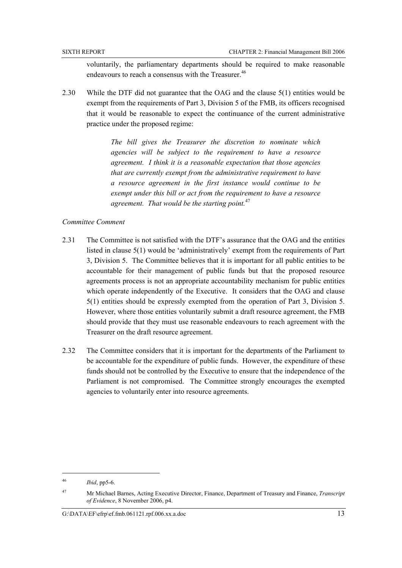voluntarily, the parliamentary departments should be required to make reasonable endeavours to reach a consensus with the Treasurer.<sup>46</sup>

2.30 While the DTF did not guarantee that the OAG and the clause 5(1) entities would be exempt from the requirements of Part 3, Division 5 of the FMB, its officers recognised that it would be reasonable to expect the continuance of the current administrative practice under the proposed regime:

> *The bill gives the Treasurer the discretion to nominate which agencies will be subject to the requirement to have a resource agreement. I think it is a reasonable expectation that those agencies that are currently exempt from the administrative requirement to have a resource agreement in the first instance would continue to be exempt under this bill or act from the requirement to have a resource agreement. That would be the starting point.*<sup>47</sup>

### *Committee Comment*

- 2.31 The Committee is not satisfied with the DTF's assurance that the OAG and the entities listed in clause 5(1) would be 'administratively' exempt from the requirements of Part 3, Division 5. The Committee believes that it is important for all public entities to be accountable for their management of public funds but that the proposed resource agreements process is not an appropriate accountability mechanism for public entities which operate independently of the Executive. It considers that the OAG and clause 5(1) entities should be expressly exempted from the operation of Part 3, Division 5. However, where those entities voluntarily submit a draft resource agreement, the FMB should provide that they must use reasonable endeavours to reach agreement with the Treasurer on the draft resource agreement.
- 2.32 The Committee considers that it is important for the departments of the Parliament to be accountable for the expenditure of public funds. However, the expenditure of these funds should not be controlled by the Executive to ensure that the independence of the Parliament is not compromised. The Committee strongly encourages the exempted agencies to voluntarily enter into resource agreements.

<sup>46</sup> *Ibid*, pp5-6.

<sup>47</sup> Mr Michael Barnes, Acting Executive Director, Finance, Department of Treasury and Finance, *Transcript of Evidence*, 8 November 2006, p4.

 $G:\Delta E\left\{\frac{\text{Gr}}{D}\right\}$  = 13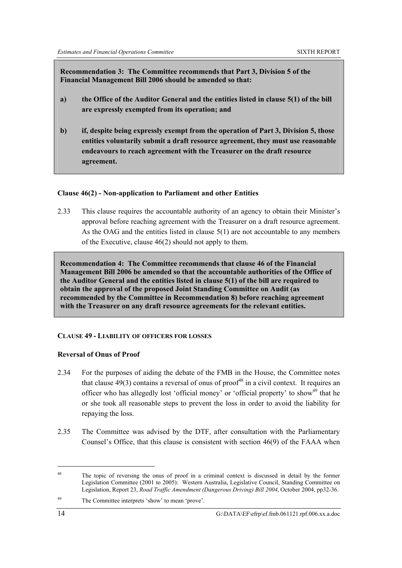**Recommendation 3: The Committee recommends that Part 3, Division 5 of the Financial Management Bill 2006 should be amended so that:** 

- **a) the Office of the Auditor General and the entities listed in clause 5(1) of the bill are expressly exempted from its operation; and**
- **b) if, despite being expressly exempt from the operation of Part 3, Division 5, those entities voluntarily submit a draft resource agreement, they must use reasonable endeavours to reach agreement with the Treasurer on the draft resource agreement.**

# **Clause 46(2) - Non-application to Parliament and other Entities**

2.33 This clause requires the accountable authority of an agency to obtain their Minister's approval before reaching agreement with the Treasurer on a draft resource agreement. As the OAG and the entities listed in clause 5(1) are not accountable to any members of the Executive, clause 46(2) should not apply to them.

**Recommendation 4: The Committee recommends that clause 46 of the Financial Management Bill 2006 be amended so that the accountable authorities of the Office of the Auditor General and the entities listed in clause 5(1) of the bill are required to obtain the approval of the proposed Joint Standing Committee on Audit (as recommended by the Committee in Recommendation 8) before reaching agreement with the Treasurer on any draft resource agreements for the relevant entities.** 

# **CLAUSE 49 - LIABILITY OF OFFICERS FOR LOSSES**

# **Reversal of Onus of Proof**

- 2.34 For the purposes of aiding the debate of the FMB in the House, the Committee notes that clause  $49(3)$  contains a reversal of onus of proof<sup>48</sup> in a civil context. It requires an officer who has allegedly lost 'official money' or 'official property' to show<sup>49</sup> that he or she took all reasonable steps to prevent the loss in order to avoid the liability for repaying the loss.
- 2.35 The Committee was advised by the DTF, after consultation with the Parliamentary Counsel's Office, that this clause is consistent with section 46(9) of the FAAA when

<sup>&</sup>lt;sup>48</sup> The topic of reversing the onus of proof in a criminal context is discussed in detail by the former Legislation Committee (2001 to 2005): Western Australia, Legislative Council, Standing Committee on Legislation, Report 23, *Road Traffic Amendment (Dangerous Driving) Bill 2004*, October 2004, pp32-36.

<sup>49</sup> The Committee interprets 'show' to mean 'prove'.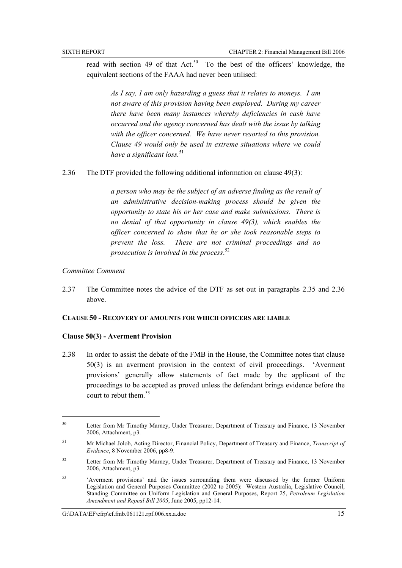read with section 49 of that  $Act.^{50}$  To the best of the officers' knowledge, the equivalent sections of the FAAA had never been utilised:

*As I say, I am only hazarding a guess that it relates to moneys. I am not aware of this provision having been employed. During my career there have been many instances whereby deficiencies in cash have occurred and the agency concerned has dealt with the issue by talking with the officer concerned. We have never resorted to this provision. Clause 49 would only be used in extreme situations where we could have a significant loss.*<sup>51</sup>

2.36 The DTF provided the following additional information on clause 49(3):

*a person who may be the subject of an adverse finding as the result of an administrative decision-making process should be given the opportunity to state his or her case and make submissions. There is no denial of that opportunity in clause 49(3), which enables the officer concerned to show that he or she took reasonable steps to prevent the loss. These are not criminal proceedings and no prosecution is involved in the process*. 52

### *Committee Comment*

 $\overline{a}$ 

2.37 The Committee notes the advice of the DTF as set out in paragraphs 2.35 and 2.36 above.

#### **CLAUSE 50 - RECOVERY OF AMOUNTS FOR WHICH OFFICERS ARE LIABLE**

# **Clause 50(3) - Averment Provision**

2.38 In order to assist the debate of the FMB in the House, the Committee notes that clause 50(3) is an averment provision in the context of civil proceedings.'Averment provisions' generally allow statements of fact made by the applicant of the proceedings to be accepted as proved unless the defendant brings evidence before the court to rebut them.<sup>53</sup>

<sup>&</sup>lt;sup>50</sup> Letter from Mr Timothy Marney, Under Treasurer, Department of Treasury and Finance, 13 November 2006, Attachment, p3.

<sup>51</sup> Mr Michael Jolob, Acting Director, Financial Policy, Department of Treasury and Finance, *Transcript of Evidence*, 8 November 2006, pp8-9.

<sup>&</sup>lt;sup>52</sup> Letter from Mr Timothy Marney, Under Treasurer, Department of Treasury and Finance, 13 November 2006, Attachment, p3.

<sup>53 &#</sup>x27;Averment provisions' and the issues surrounding them were discussed by the former Uniform Legislation and General Purposes Committee (2002 to 2005): Western Australia, Legislative Council, Standing Committee on Uniform Legislation and General Purposes, Report 25, *Petroleum Legislation Amendment and Repeal Bill 2005*, June 2005, pp12-14.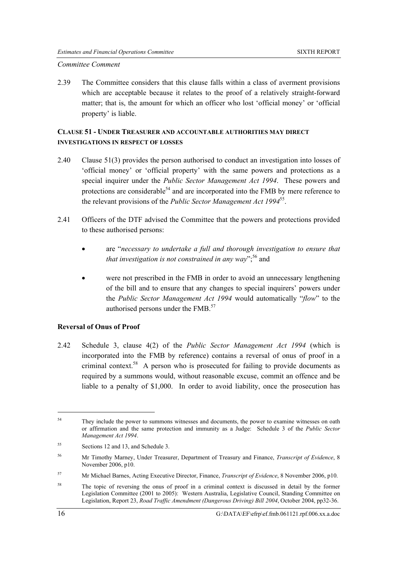#### *Committee Comment*

2.39 The Committee considers that this clause falls within a class of averment provisions which are acceptable because it relates to the proof of a relatively straight-forward matter; that is, the amount for which an officer who lost 'official money' or 'official property' is liable.

# **CLAUSE 51 - UNDER TREASURER AND ACCOUNTABLE AUTHORITIES MAY DIRECT INVESTIGATIONS IN RESPECT OF LOSSES**

- 2.40 Clause 51(3) provides the person authorised to conduct an investigation into losses of 'official money' or 'official property' with the same powers and protections as a special inquirer under the *Public Sector Management Act 1994*. These powers and protections are considerable<sup>54</sup> and are incorporated into the FMB by mere reference to the relevant provisions of the *Public Sector Management Act 1994*55.
- 2.41 Officers of the DTF advised the Committee that the powers and protections provided to these authorised persons:
	- are "*necessary to undertake a full and thorough investigation to ensure that that investigation is not constrained in any way*<sup>";56</sup> and
	- were not prescribed in the FMB in order to avoid an unnecessary lengthening of the bill and to ensure that any changes to special inquirers' powers under the *Public Sector Management Act 1994* would automatically "*flow*" to the authorised persons under the FMB.<sup>57</sup>

# **Reversal of Onus of Proof**

2.42 Schedule 3, clause 4(2) of the *Public Sector Management Act 1994* (which is incorporated into the FMB by reference) contains a reversal of onus of proof in a criminal context.<sup>58</sup> A person who is prosecuted for failing to provide documents as required by a summons would, without reasonable excuse, commit an offence and be liable to a penalty of \$1,000. In order to avoid liability, once the prosecution has

<sup>&</sup>lt;sup>54</sup> They include the power to summons witnesses and documents, the power to examine witnesses on oath or affirmation and the same protection and immunity as a Judge: Schedule 3 of the *Public Sector Management Act 1994*.

<sup>55</sup> Sections 12 and 13, and Schedule 3.

<sup>56</sup> Mr Timothy Marney, Under Treasurer, Department of Treasury and Finance, *Transcript of Evidence*, 8 November 2006, p10.

<sup>57</sup> Mr Michael Barnes, Acting Executive Director, Finance, *Transcript of Evidence*, 8 November 2006, p10.

<sup>&</sup>lt;sup>58</sup> The topic of reversing the onus of proof in a criminal context is discussed in detail by the former Legislation Committee (2001 to 2005): Western Australia, Legislative Council, Standing Committee on Legislation, Report 23, *Road Traffic Amendment (Dangerous Driving) Bill 2004*, October 2004, pp32-36.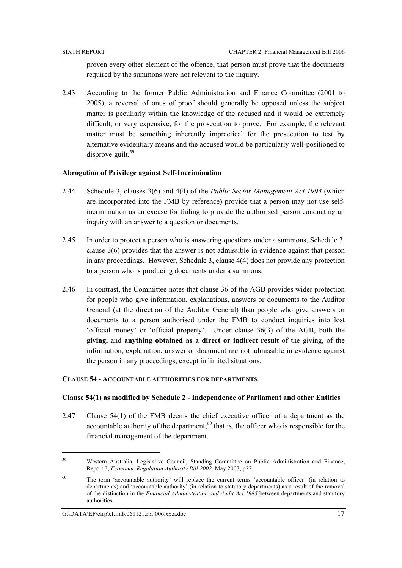proven every other element of the offence, that person must prove that the documents required by the summons were not relevant to the inquiry.

2.43 According to the former Public Administration and Finance Committee (2001 to 2005), a reversal of onus of proof should generally be opposed unless the subject matter is peculiarly within the knowledge of the accused and it would be extremely difficult, or very expensive, for the prosecution to prove. For example, the relevant matter must be something inherently impractical for the prosecution to test by alternative evidentiary means and the accused would be particularly well-positioned to disprove guilt. $59$ 

# **Abrogation of Privilege against Self-Incrimination**

- 2.44 Schedule 3, clauses 3(6) and 4(4) of the *Public Sector Management Act 1994* (which are incorporated into the FMB by reference) provide that a person may not use selfincrimination as an excuse for failing to provide the authorised person conducting an inquiry with an answer to a question or documents.
- 2.45 In order to protect a person who is answering questions under a summons, Schedule 3, clause 3(6) provides that the answer is not admissible in evidence against that person in any proceedings. However, Schedule 3, clause 4(4) does not provide any protection to a person who is producing documents under a summons.
- 2.46 In contrast, the Committee notes that clause 36 of the AGB provides wider protection for people who give information, explanations, answers or documents to the Auditor General (at the direction of the Auditor General) than people who give answers or documents to a person authorised under the FMB to conduct inquiries into lost 'official money' or 'official property'. Under clause 36(3) of the AGB, both the **giving,** and **anything obtained as a direct or indirect result** of the giving, of the information, explanation, answer or document are not admissible in evidence against the person in any proceedings, except in limited situations.

# **CLAUSE 54 - ACCOUNTABLE AUTHORITIES FOR DEPARTMENTS**

# **Clause 54(1) as modified by Schedule 2 - Independence of Parliament and other Entities**

2.47 Clause 54(1) of the FMB deems the chief executive officer of a department as the accountable authority of the department; $60$  that is, the officer who is responsible for the financial management of the department.

<sup>59</sup> Western Australia, Legislative Council, Standing Committee on Public Administration and Finance, Report 3, *Economic Regulation Authority Bill 2002,* May 2003, p22.

<sup>&</sup>lt;sup>60</sup> The term 'accountable authority' will replace the current terms 'accountable officer' (in relation to departments) and 'accountable authority' (in relation to statutory departments) as a result of the removal of the distinction in the *Financial Administration and Audit Act 1985* between departments and statutory authorities.

 $G:\Delta E\left\{\frac{\text{Gr}}{D}\right\}$  and  $17$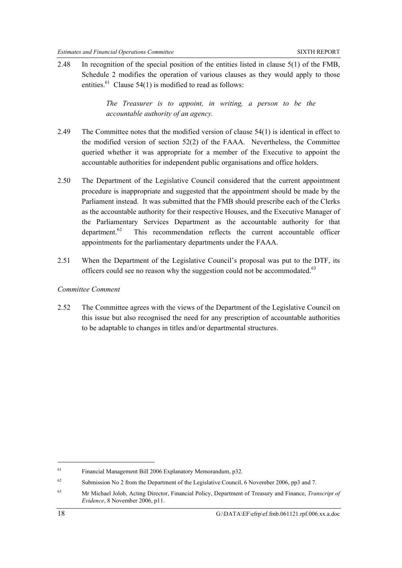2.48 In recognition of the special position of the entities listed in clause 5(1) of the FMB, Schedule 2 modifies the operation of various clauses as they would apply to those entities.<sup>61</sup> Clause 54(1) is modified to read as follows:

> *The Treasurer is to appoint, in writing, a person to be the accountable authority of an agency.*

- 2.49 The Committee notes that the modified version of clause 54(1) is identical in effect to the modified version of section 52(2) of the FAAA. Nevertheless, the Committee queried whether it was appropriate for a member of the Executive to appoint the accountable authorities for independent public organisations and office holders.
- 2.50 The Department of the Legislative Council considered that the current appointment procedure is inappropriate and suggested that the appointment should be made by the Parliament instead. It was submitted that the FMB should prescribe each of the Clerks as the accountable authority for their respective Houses, and the Executive Manager of the Parliamentary Services Department as the accountable authority for that department.<sup>62</sup> This recommendation reflects the current accountable officer appointments for the parliamentary departments under the FAAA.
- 2.51 When the Department of the Legislative Council's proposal was put to the DTF, its officers could see no reason why the suggestion could not be accommodated.<sup>63</sup>

#### *Committee Comment*

2.52 The Committee agrees with the views of the Department of the Legislative Council on this issue but also recognised the need for any prescription of accountable authorities to be adaptable to changes in titles and/or departmental structures.

 $61$  Financial Management Bill 2006 Explanatory Memorandum, p32.

<sup>&</sup>lt;sup>62</sup> Submission No 2 from the Department of the Legislative Council, 6 November 2006, pp3 and 7.

<sup>63</sup> Mr Michael Jolob, Acting Director, Financial Policy, Department of Treasury and Finance, *Transcript of Evidence*, 8 November 2006, p11.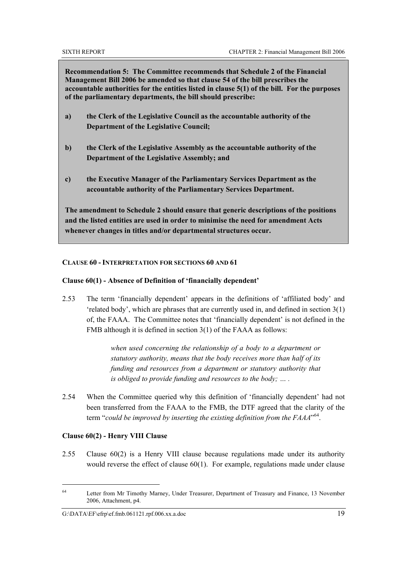**Recommendation 5: The Committee recommends that Schedule 2 of the Financial Management Bill 2006 be amended so that clause 54 of the bill prescribes the accountable authorities for the entities listed in clause 5(1) of the bill. For the purposes of the parliamentary departments, the bill should prescribe:** 

- **a) the Clerk of the Legislative Council as the accountable authority of the Department of the Legislative Council;**
- **b) the Clerk of the Legislative Assembly as the accountable authority of the Department of the Legislative Assembly; and**
- **c) the Executive Manager of the Parliamentary Services Department as the accountable authority of the Parliamentary Services Department.**

**The amendment to Schedule 2 should ensure that generic descriptions of the positions and the listed entities are used in order to minimise the need for amendment Acts whenever changes in titles and/or departmental structures occur.** 

### **CLAUSE 60 - INTERPRETATION FOR SECTIONS 60 AND 61**

# **Clause 60(1) - Absence of Definition of 'financially dependent'**

2.53 The term 'financially dependent' appears in the definitions of 'affiliated body' and 'related body', which are phrases that are currently used in, and defined in section 3(1) of, the FAAA. The Committee notes that 'financially dependent' is not defined in the FMB although it is defined in section 3(1) of the FAAA as follows:

> *when used concerning the relationship of a body to a department or statutory authority, means that the body receives more than half of its funding and resources from a department or statutory authority that is obliged to provide funding and resources to the body; ....*

2.54 When the Committee queried why this definition of 'financially dependent' had not been transferred from the FAAA to the FMB, the DTF agreed that the clarity of the term "*could be improved by inserting the existing definition from the FAAA*"<sup>64</sup>.

#### **Clause 60(2) - Henry VIII Clause**

 $\overline{a}$ 

2.55 Clause 60(2) is a Henry VIII clause because regulations made under its authority would reverse the effect of clause 60(1). For example, regulations made under clause

<sup>&</sup>lt;sup>64</sup> Letter from Mr Timothy Marney, Under Treasurer, Department of Treasury and Finance, 13 November 2006, Attachment, p4.

 $G:\D{ATA\to F\eftrightarrow f,fmb.061121.rpf.006.xx.a.doc}$  19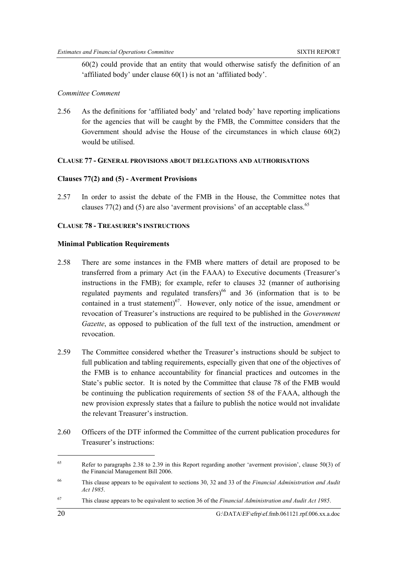60(2) could provide that an entity that would otherwise satisfy the definition of an 'affiliated body' under clause 60(1) is not an 'affiliated body'.

## *Committee Comment*

2.56 As the definitions for 'affiliated body' and 'related body' have reporting implications for the agencies that will be caught by the FMB, the Committee considers that the Government should advise the House of the circumstances in which clause 60(2) would be utilised.

### **CLAUSE 77 - GENERAL PROVISIONS ABOUT DELEGATIONS AND AUTHORISATIONS**

# **Clauses 77(2) and (5) - Averment Provisions**

2.57 In order to assist the debate of the FMB in the House, the Committee notes that clauses  $77(2)$  and (5) are also 'averment provisions' of an acceptable class.<sup>65</sup>

# **CLAUSE 78 - TREASURER'S INSTRUCTIONS**

### **Minimal Publication Requirements**

- 2.58 There are some instances in the FMB where matters of detail are proposed to be transferred from a primary Act (in the FAAA) to Executive documents (Treasurer's instructions in the FMB); for example, refer to clauses 32 (manner of authorising regulated payments and regulated transfers)<sup>66</sup> and 36 (information that is to be contained in a trust statement) $67$ . However, only notice of the issue, amendment or revocation of Treasurer's instructions are required to be published in the *Government Gazette*, as opposed to publication of the full text of the instruction, amendment or revocation.
- 2.59 The Committee considered whether the Treasurer's instructions should be subject to full publication and tabling requirements, especially given that one of the objectives of the FMB is to enhance accountability for financial practices and outcomes in the State's public sector. It is noted by the Committee that clause 78 of the FMB would be continuing the publication requirements of section 58 of the FAAA, although the new provision expressly states that a failure to publish the notice would not invalidate the relevant Treasurer's instruction.
- 2.60 Officers of the DTF informed the Committee of the current publication procedures for Treasurer's instructions:

<sup>&</sup>lt;sup>65</sup> Refer to paragraphs 2.38 to 2.39 in this Report regarding another 'averment provision', clause 50(3) of the Financial Management Bill 2006.

<sup>66</sup> This clause appears to be equivalent to sections 30, 32 and 33 of the *Financial Administration and Audit Act 1985*.

<sup>67</sup> This clause appears to be equivalent to section 36 of the *Financial Administration and Audit Act 1985*.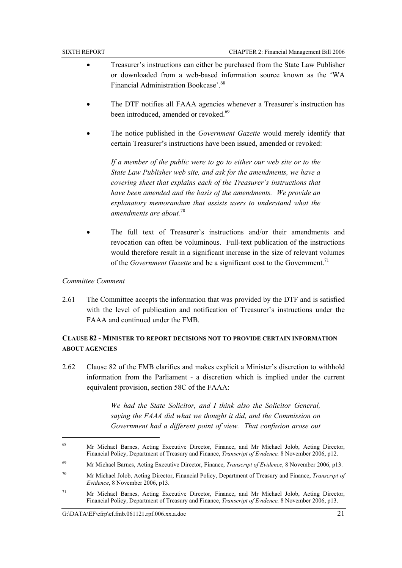- Treasurer's instructions can either be purchased from the State Law Publisher or downloaded from a web-based information source known as the 'WA Financial Administration Bookcase'.<sup>68</sup>
- The DTF notifies all FAAA agencies whenever a Treasurer's instruction has been introduced, amended or revoked.<sup>69</sup>
- The notice published in the *Government Gazette* would merely identify that certain Treasurer's instructions have been issued, amended or revoked:

*If a member of the public were to go to either our web site or to the State Law Publisher web site, and ask for the amendments, we have a covering sheet that explains each of the Treasurer's instructions that have been amended and the basis of the amendments. We provide an explanatory memorandum that assists users to understand what the amendments are about.*<sup>70</sup>

The full text of Treasurer's instructions and/or their amendments and revocation can often be voluminous. Full-text publication of the instructions would therefore result in a significant increase in the size of relevant volumes of the *Government Gazette* and be a significant cost to the Government.<sup>71</sup>

## *Committee Comment*

 $\overline{a}$ 

2.61 The Committee accepts the information that was provided by the DTF and is satisfied with the level of publication and notification of Treasurer's instructions under the FAAA and continued under the FMB.

# **CLAUSE 82 - MINISTER TO REPORT DECISIONS NOT TO PROVIDE CERTAIN INFORMATION ABOUT AGENCIES**

2.62 Clause 82 of the FMB clarifies and makes explicit a Minister's discretion to withhold information from the Parliament - a discretion which is implied under the current equivalent provision, section 58C of the FAAA:

> *We had the State Solicitor, and I think also the Solicitor General, saying the FAAA did what we thought it did, and the Commission on Government had a different point of view. That confusion arose out*

<sup>&</sup>lt;sup>68</sup> Mr Michael Barnes, Acting Executive Director, Finance, and Mr Michael Jolob, Acting Director, Financial Policy, Department of Treasury and Finance, *Transcript of Evidence,* 8 November 2006, p12.

<sup>69</sup> Mr Michael Barnes, Acting Executive Director, Finance, *Transcript of Evidence*, 8 November 2006, p13.

<sup>70</sup> Mr Michael Jolob, Acting Director, Financial Policy, Department of Treasury and Finance, *Transcript of Evidence*, 8 November 2006, p13.

<sup>71</sup> Mr Michael Barnes, Acting Executive Director, Finance, and Mr Michael Jolob, Acting Director, Financial Policy, Department of Treasury and Finance, *Transcript of Evidence,* 8 November 2006, p13.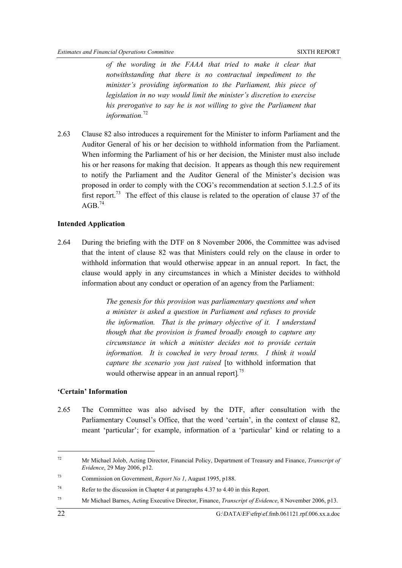*of the wording in the FAAA that tried to make it clear that notwithstanding that there is no contractual impediment to the minister's providing information to the Parliament, this piece of legislation in no way would limit the minister's discretion to exercise his prerogative to say he is not willing to give the Parliament that information.*<sup>72</sup>

2.63 Clause 82 also introduces a requirement for the Minister to inform Parliament and the Auditor General of his or her decision to withhold information from the Parliament. When informing the Parliament of his or her decision, the Minister must also include his or her reasons for making that decision. It appears as though this new requirement to notify the Parliament and the Auditor General of the Minister's decision was proposed in order to comply with the COG's recommendation at section 5.1.2.5 of its first report.<sup>73</sup> The effect of this clause is related to the operation of clause 37 of the  $AGR$ <sup>74</sup>

### **Intended Application**

2.64 During the briefing with the DTF on 8 November 2006, the Committee was advised that the intent of clause 82 was that Ministers could rely on the clause in order to withhold information that would otherwise appear in an annual report. In fact, the clause would apply in any circumstances in which a Minister decides to withhold information about any conduct or operation of an agency from the Parliament:

> *The genesis for this provision was parliamentary questions and when a minister is asked a question in Parliament and refuses to provide the information. That is the primary objective of it. I understand though that the provision is framed broadly enough to capture any circumstance in which a minister decides not to provide certain information. It is couched in very broad terms. I think it would capture the scenario you just raised* [to withhold information that would otherwise appear in an annual report]*.* 75

# **'Certain' Information**

2.65 The Committee was also advised by the DTF, after consultation with the Parliamentary Counsel's Office, that the word 'certain', in the context of clause 82, meant 'particular'; for example, information of a 'particular' kind or relating to a

<sup>72</sup> Mr Michael Jolob, Acting Director, Financial Policy, Department of Treasury and Finance, *Transcript of Evidence*, 29 May 2006, p12.

<sup>73</sup> Commission on Government, *Report No 1*, August 1995, p188.

<sup>74</sup> Refer to the discussion in Chapter 4 at paragraphs 4.37 to 4.40 in this Report.

<sup>75</sup> Mr Michael Barnes, Acting Executive Director, Finance, *Transcript of Evidence*, 8 November 2006, p13.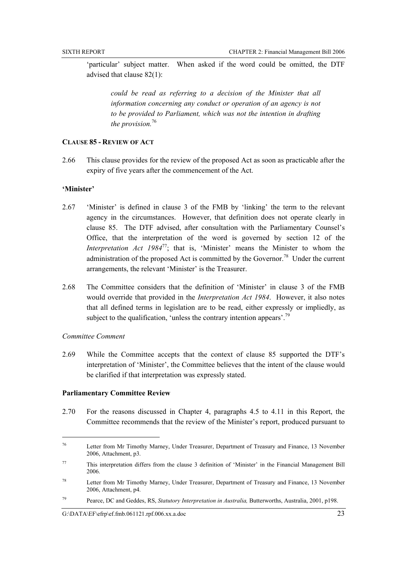'particular' subject matter. When asked if the word could be omitted, the DTF advised that clause 82(1):

*could be read as referring to a decision of the Minister that all information concerning any conduct or operation of an agency is not to be provided to Parliament, which was not the intention in drafting the provision.*<sup>76</sup>

### **CLAUSE 85 - REVIEW OF ACT**

2.66 This clause provides for the review of the proposed Act as soon as practicable after the expiry of five years after the commencement of the Act.

### **'Minister'**

- 2.67 'Minister' is defined in clause 3 of the FMB by 'linking' the term to the relevant agency in the circumstances. However, that definition does not operate clearly in clause 85. The DTF advised, after consultation with the Parliamentary Counsel's Office, that the interpretation of the word is governed by section 12 of the *Interpretation Act 1984*<sup>77</sup>; that is, 'Minister' means the Minister to whom the administration of the proposed Act is committed by the Governor.<sup>78</sup> Under the current arrangements, the relevant 'Minister' is the Treasurer.
- 2.68 The Committee considers that the definition of 'Minister' in clause 3 of the FMB would override that provided in the *Interpretation Act 1984*. However, it also notes that all defined terms in legislation are to be read, either expressly or impliedly, as subject to the qualification, 'unless the contrary intention appears'.<sup>79</sup>

### *Committee Comment*

 $\overline{a}$ 

2.69 While the Committee accepts that the context of clause 85 supported the DTF's interpretation of 'Minister', the Committee believes that the intent of the clause would be clarified if that interpretation was expressly stated.

### **Parliamentary Committee Review**

2.70 For the reasons discussed in Chapter 4, paragraphs 4.5 to 4.11 in this Report, the Committee recommends that the review of the Minister's report, produced pursuant to

<sup>&</sup>lt;sup>76</sup> Letter from Mr Timothy Marney, Under Treasurer, Department of Treasury and Finance, 13 November 2006, Attachment, p3.

<sup>77</sup> This interpretation differs from the clause 3 definition of 'Minister' in the Financial Management Bill 2006.

<sup>78</sup> Letter from Mr Timothy Marney, Under Treasurer, Department of Treasury and Finance, 13 November 2006, Attachment, p4.

<sup>79</sup> Pearce, DC and Geddes, RS, *Statutory Interpretation in Australia,* Butterworths, Australia, 2001, p198.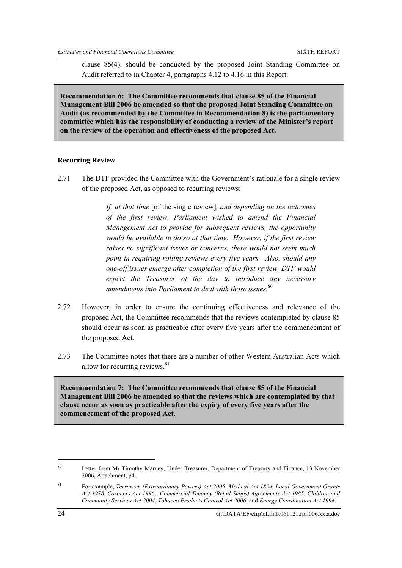clause 85(4), should be conducted by the proposed Joint Standing Committee on Audit referred to in Chapter 4, paragraphs 4.12 to 4.16 in this Report.

**Recommendation 6: The Committee recommends that clause 85 of the Financial Management Bill 2006 be amended so that the proposed Joint Standing Committee on Audit (as recommended by the Committee in Recommendation 8) is the parliamentary committee which has the responsibility of conducting a review of the Minister's report on the review of the operation and effectiveness of the proposed Act.** 

### **Recurring Review**

2.71 The DTF provided the Committee with the Government's rationale for a single review of the proposed Act, as opposed to recurring reviews:

> *If, at that time* [of the single review]*, and depending on the outcomes of the first review, Parliament wished to amend the Financial Management Act to provide for subsequent reviews, the opportunity would be available to do so at that time. However, if the first review raises no significant issues or concerns, there would not seem much point in requiring rolling reviews every five years. Also, should any one-off issues emerge after completion of the first review, DTF would expect the Treasurer of the day to introduce any necessary amendments into Parliament to deal with those issues.*<sup>80</sup>

- 2.72 However, in order to ensure the continuing effectiveness and relevance of the proposed Act, the Committee recommends that the reviews contemplated by clause 85 should occur as soon as practicable after every five years after the commencement of the proposed Act.
- 2.73 The Committee notes that there are a number of other Western Australian Acts which allow for recurring reviews.  $81$

**Recommendation 7: The Committee recommends that clause 85 of the Financial Management Bill 2006 be amended so that the reviews which are contemplated by that clause occur as soon as practicable after the expiry of every five years after the commencement of the proposed Act.** 

<sup>&</sup>lt;sup>80</sup> Letter from Mr Timothy Marney, Under Treasurer, Department of Treasury and Finance, 13 November 2006, Attachment, p4.

<sup>81</sup> For example, *Terrorism (Extraordinary Powers) Act 2005*, *Medical Act 1894*, *Local Government Grants Act 1978*, *Coroners Act 1996*, *Commercial Tenancy (Retail Shops) Agreements Act 1985*, *Children and Community Services Act 2004*, *Tobacco Products Control Act 2006*, and *Energy Coordination Act 1994*.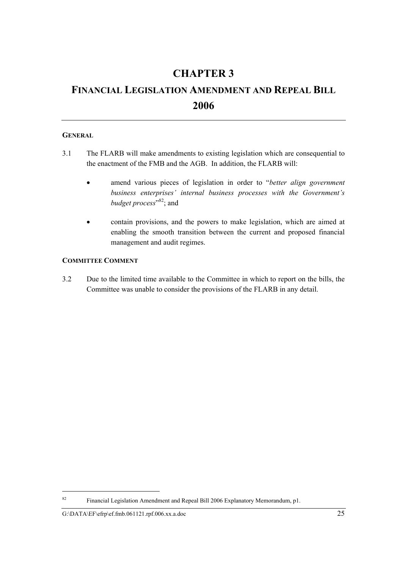## **CHAPTER 3**

# **FINANCIAL LEGISLATION AMENDMENT AND REPEAL BILL 2006**

### **GENERAL**

- 3.1 The FLARB will make amendments to existing legislation which are consequential to the enactment of the FMB and the AGB. In addition, the FLARB will:
	- amend various pieces of legislation in order to "*better align government business enterprises' internal business processes with the Government's*  budget process<sup>",82</sup>; and
	- contain provisions, and the powers to make legislation, which are aimed at enabling the smooth transition between the current and proposed financial management and audit regimes.

### **COMMITTEE COMMENT**

3.2 Due to the limited time available to the Committee in which to report on the bills, the Committee was unable to consider the provisions of the FLARB in any detail.

<sup>82</sup> Financial Legislation Amendment and Repeal Bill 2006 Explanatory Memorandum, p1.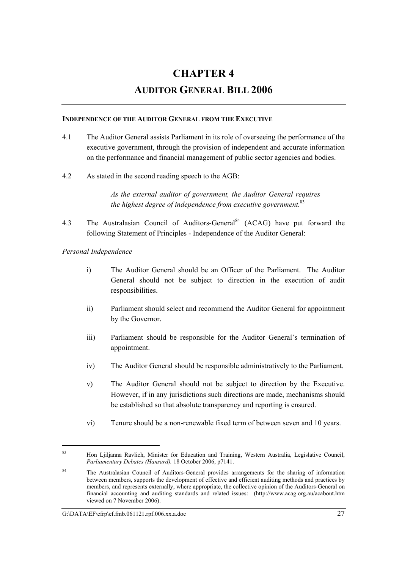# **CHAPTER 4 AUDITOR GENERAL BILL 2006**

### **INDEPENDENCE OF THE AUDITOR GENERAL FROM THE EXECUTIVE**

- 4.1 The Auditor General assists Parliament in its role of overseeing the performance of the executive government, through the provision of independent and accurate information on the performance and financial management of public sector agencies and bodies.
- 4.2 As stated in the second reading speech to the AGB:

*As the external auditor of government, the Auditor General requires the highest degree of independence from executive government.*<sup>83</sup>

4.3 The Australasian Council of Auditors-General<sup>84</sup> (ACAG) have put forward the following Statement of Principles - Independence of the Auditor General:

### *Personal Independence*

- i) The Auditor General should be an Officer of the Parliament. The Auditor General should not be subject to direction in the execution of audit responsibilities.
- ii) Parliament should select and recommend the Auditor General for appointment by the Governor.
- iii) Parliament should be responsible for the Auditor General's termination of appointment.
- iv) The Auditor General should be responsible administratively to the Parliament.
- v) The Auditor General should not be subject to direction by the Executive. However, if in any jurisdictions such directions are made, mechanisms should be established so that absolute transparency and reporting is ensured.
- vi) Tenure should be a non-renewable fixed term of between seven and 10 years.

<sup>83</sup> Hon Ljiljanna Ravlich, Minister for Education and Training, Western Australia, Legislative Council, *Parliamentary Debates (Hansard),* 18 October 2006, p7141.

<sup>&</sup>lt;sup>84</sup> The Australasian Council of Auditors-General provides arrangements for the sharing of information between members, supports the development of effective and efficient auditing methods and practices by members, and represents externally, where appropriate, the collective opinion of the Auditors-General on financial accounting and auditing standards and related issues: (http://www.acag.org.au/acabout.htm viewed on 7 November 2006).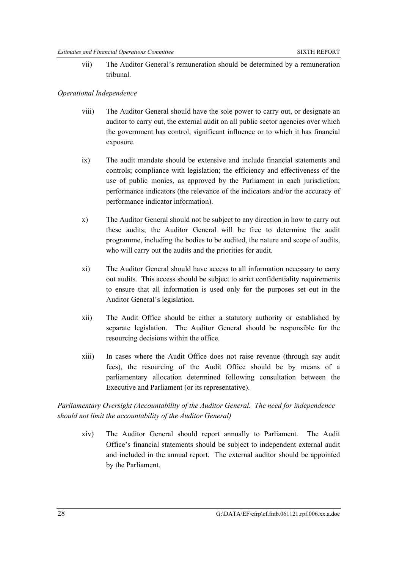vii) The Auditor General's remuneration should be determined by a remuneration tribunal.

### *Operational Independence*

- viii) The Auditor General should have the sole power to carry out, or designate an auditor to carry out, the external audit on all public sector agencies over which the government has control, significant influence or to which it has financial exposure.
- ix) The audit mandate should be extensive and include financial statements and controls; compliance with legislation; the efficiency and effectiveness of the use of public monies, as approved by the Parliament in each jurisdiction; performance indicators (the relevance of the indicators and/or the accuracy of performance indicator information).
- x) The Auditor General should not be subject to any direction in how to carry out these audits; the Auditor General will be free to determine the audit programme, including the bodies to be audited, the nature and scope of audits, who will carry out the audits and the priorities for audit.
- xi) The Auditor General should have access to all information necessary to carry out audits. This access should be subject to strict confidentiality requirements to ensure that all information is used only for the purposes set out in the Auditor General's legislation.
- xii) The Audit Office should be either a statutory authority or established by separate legislation. The Auditor General should be responsible for the resourcing decisions within the office.
- xiii) In cases where the Audit Office does not raise revenue (through say audit fees), the resourcing of the Audit Office should be by means of a parliamentary allocation determined following consultation between the Executive and Parliament (or its representative).

*Parliamentary Oversight (Accountability of the Auditor General. The need for independence should not limit the accountability of the Auditor General)* 

xiv) The Auditor General should report annually to Parliament. The Audit Office's financial statements should be subject to independent external audit and included in the annual report. The external auditor should be appointed by the Parliament.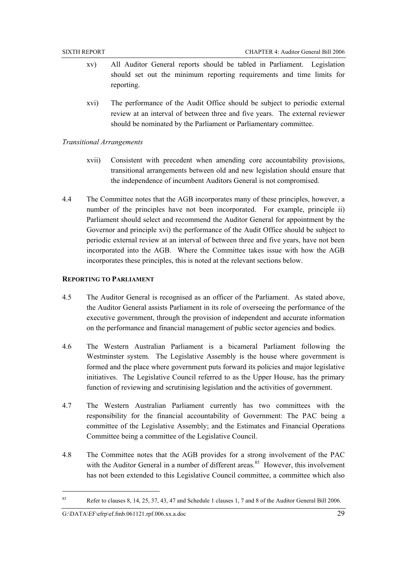- xv) All Auditor General reports should be tabled in Parliament. Legislation should set out the minimum reporting requirements and time limits for reporting.
- xvi) The performance of the Audit Office should be subject to periodic external review at an interval of between three and five years. The external reviewer should be nominated by the Parliament or Parliamentary committee.

### *Transitional Arrangements*

- xvii) Consistent with precedent when amending core accountability provisions, transitional arrangements between old and new legislation should ensure that the independence of incumbent Auditors General is not compromised.
- 4.4 The Committee notes that the AGB incorporates many of these principles, however, a number of the principles have not been incorporated. For example, principle ii) Parliament should select and recommend the Auditor General for appointment by the Governor and principle xvi) the performance of the Audit Office should be subject to periodic external review at an interval of between three and five years, have not been incorporated into the AGB. Where the Committee takes issue with how the AGB incorporates these principles, this is noted at the relevant sections below.

### **REPORTING TO PARLIAMENT**

- 4.5 The Auditor General is recognised as an officer of the Parliament. As stated above, the Auditor General assists Parliament in its role of overseeing the performance of the executive government, through the provision of independent and accurate information on the performance and financial management of public sector agencies and bodies.
- 4.6 The Western Australian Parliament is a bicameral Parliament following the Westminster system. The Legislative Assembly is the house where government is formed and the place where government puts forward its policies and major legislative initiatives. The Legislative Council referred to as the Upper House, has the primary function of reviewing and scrutinising legislation and the activities of government.
- 4.7 The Western Australian Parliament currently has two committees with the responsibility for the financial accountability of Government: The PAC being a committee of the Legislative Assembly; and the Estimates and Financial Operations Committee being a committee of the Legislative Council.
- 4.8 The Committee notes that the AGB provides for a strong involvement of the PAC with the Auditor General in a number of different areas.<sup>85</sup> However, this involvement has not been extended to this Legislative Council committee, a committee which also

<sup>85</sup> Refer to clauses 8, 14, 25, 37, 43, 47 and Schedule 1 clauses 1, 7 and 8 of the Auditor General Bill 2006.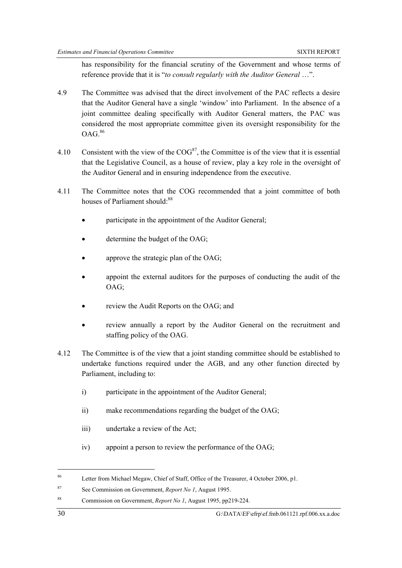has responsibility for the financial scrutiny of the Government and whose terms of reference provide that it is "*to consult regularly with the Auditor General* …".

- 4.9 The Committee was advised that the direct involvement of the PAC reflects a desire that the Auditor General have a single 'window' into Parliament. In the absence of a joint committee dealing specifically with Auditor General matters, the PAC was considered the most appropriate committee given its oversight responsibility for the  $OAG.<sup>86</sup>$
- 4.10 Consistent with the view of the  $COG^{87}$ , the Committee is of the view that it is essential that the Legislative Council, as a house of review, play a key role in the oversight of the Auditor General and in ensuring independence from the executive.
- 4.11 The Committee notes that the COG recommended that a joint committee of both houses of Parliament should:<sup>88</sup>
	- participate in the appointment of the Auditor General;
	- determine the budget of the OAG;
	- approve the strategic plan of the OAG;
	- appoint the external auditors for the purposes of conducting the audit of the OAG;
	- review the Audit Reports on the OAG; and
	- review annually a report by the Auditor General on the recruitment and staffing policy of the OAG.
- 4.12 The Committee is of the view that a joint standing committee should be established to undertake functions required under the AGB, and any other function directed by Parliament, including to:
	- i) participate in the appointment of the Auditor General;
	- ii) make recommendations regarding the budget of the OAG;
	- iii) undertake a review of the Act;
	- iv) appoint a person to review the performance of the OAG;

<sup>&</sup>lt;sup>86</sup> Letter from Michael Megaw, Chief of Staff, Office of the Treasurer, 4 October 2006, p1.

<sup>87</sup> See Commission on Government, *Report No 1*, August 1995.

<sup>88</sup> Commission on Government, *Report No 1*, August 1995, pp219-224.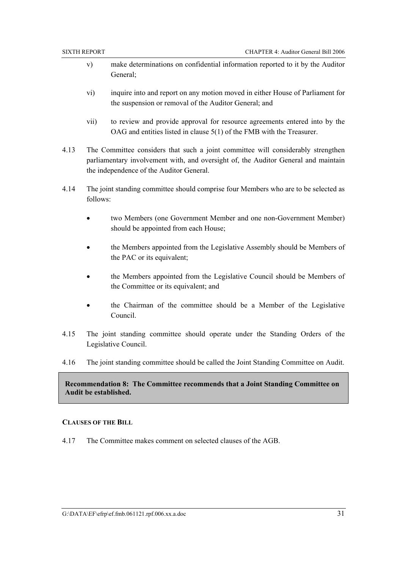- v) make determinations on confidential information reported to it by the Auditor General;
- vi) inquire into and report on any motion moved in either House of Parliament for the suspension or removal of the Auditor General; and
- vii) to review and provide approval for resource agreements entered into by the OAG and entities listed in clause 5(1) of the FMB with the Treasurer.
- 4.13 The Committee considers that such a joint committee will considerably strengthen parliamentary involvement with, and oversight of, the Auditor General and maintain the independence of the Auditor General.
- 4.14 The joint standing committee should comprise four Members who are to be selected as follows:
	- two Members (one Government Member and one non-Government Member) should be appointed from each House;
	- the Members appointed from the Legislative Assembly should be Members of the PAC or its equivalent;
	- the Members appointed from the Legislative Council should be Members of the Committee or its equivalent; and
	- the Chairman of the committee should be a Member of the Legislative Council.
- 4.15 The joint standing committee should operate under the Standing Orders of the Legislative Council.
- 4.16 The joint standing committee should be called the Joint Standing Committee on Audit.

### **Recommendation 8: The Committee recommends that a Joint Standing Committee on Audit be established.**

### **CLAUSES OF THE BILL**

4.17 The Committee makes comment on selected clauses of the AGB.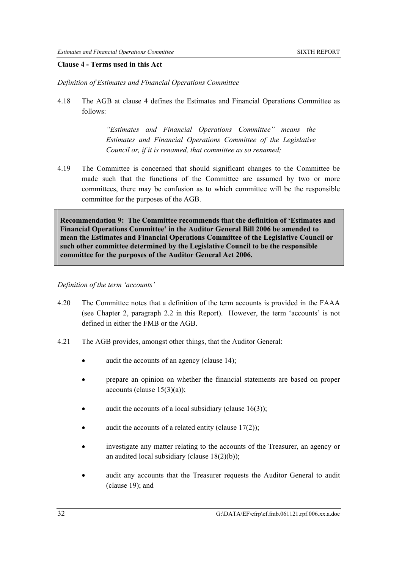### **Clause 4 - Terms used in this Act**

*Definition of Estimates and Financial Operations Committee* 

4.18 The AGB at clause 4 defines the Estimates and Financial Operations Committee as follows:

> *"Estimates and Financial Operations Committee" means the Estimates and Financial Operations Committee of the Legislative Council or, if it is renamed, that committee as so renamed;*

4.19 The Committee is concerned that should significant changes to the Committee be made such that the functions of the Committee are assumed by two or more committees, there may be confusion as to which committee will be the responsible committee for the purposes of the AGB.

**Recommendation 9: The Committee recommends that the definition of 'Estimates and Financial Operations Committee' in the Auditor General Bill 2006 be amended to mean the Estimates and Financial Operations Committee of the Legislative Council or such other committee determined by the Legislative Council to be the responsible committee for the purposes of the Auditor General Act 2006.** 

### *Definition of the term 'accounts'*

- 4.20 The Committee notes that a definition of the term accounts is provided in the FAAA (see Chapter 2, paragraph 2.2 in this Report). However, the term 'accounts' is not defined in either the FMB or the AGB.
- 4.21 The AGB provides, amongst other things, that the Auditor General:
	- audit the accounts of an agency (clause 14);
	- prepare an opinion on whether the financial statements are based on proper accounts (clause  $15(3)(a)$ );
	- audit the accounts of a local subsidiary (clause  $16(3)$ );
	- audit the accounts of a related entity (clause  $17(2)$ );
	- investigate any matter relating to the accounts of the Treasurer, an agency or an audited local subsidiary (clause 18(2)(b));
	- audit any accounts that the Treasurer requests the Auditor General to audit (clause 19); and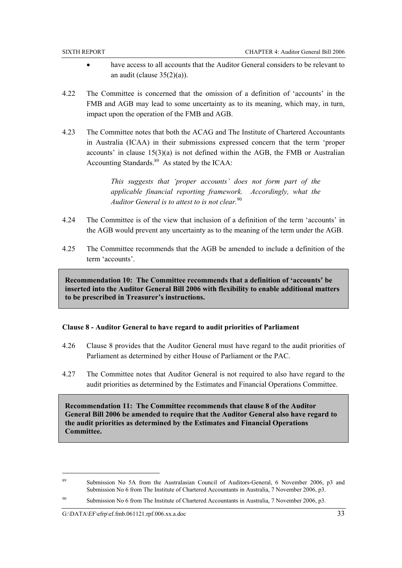- have access to all accounts that the Auditor General considers to be relevant to an audit (clause 35(2)(a)).
- 4.22 The Committee is concerned that the omission of a definition of 'accounts' in the FMB and AGB may lead to some uncertainty as to its meaning, which may, in turn, impact upon the operation of the FMB and AGB.
- 4.23 The Committee notes that both the ACAG and The Institute of Chartered Accountants in Australia (ICAA) in their submissions expressed concern that the term 'proper accounts' in clause 15(3)(a) is not defined within the AGB, the FMB or Australian Accounting Standards.<sup>89</sup> As stated by the ICAA:

*This suggests that 'proper accounts' does not form part of the applicable financial reporting framework. Accordingly, what the Auditor General is to attest to is not clear.*<sup>90</sup>

- 4.24 The Committee is of the view that inclusion of a definition of the term 'accounts' in the AGB would prevent any uncertainty as to the meaning of the term under the AGB.
- 4.25 The Committee recommends that the AGB be amended to include a definition of the term 'accounts'.

**Recommendation 10: The Committee recommends that a definition of 'accounts' be inserted into the Auditor General Bill 2006 with flexibility to enable additional matters to be prescribed in Treasurer's instructions.** 

### **Clause 8 - Auditor General to have regard to audit priorities of Parliament**

- 4.26 Clause 8 provides that the Auditor General must have regard to the audit priorities of Parliament as determined by either House of Parliament or the PAC.
- 4.27 The Committee notes that Auditor General is not required to also have regard to the audit priorities as determined by the Estimates and Financial Operations Committee.

**Recommendation 11: The Committee recommends that clause 8 of the Auditor General Bill 2006 be amended to require that the Auditor General also have regard to the audit priorities as determined by the Estimates and Financial Operations Committee.** 

<sup>89</sup> Submission No 5A from the Australasian Council of Auditors-General, 6 November 2006, p3 and Submission No 6 from The Institute of Chartered Accountants in Australia, 7 November 2006, p3.

<sup>90</sup> Submission No 6 from The Institute of Chartered Accountants in Australia, 7 November 2006, p3.

 $G:\D{DATA}\E\text{-left}\of\text{fmb}.061121.\text{rpf}.006.xx.a.doc$  33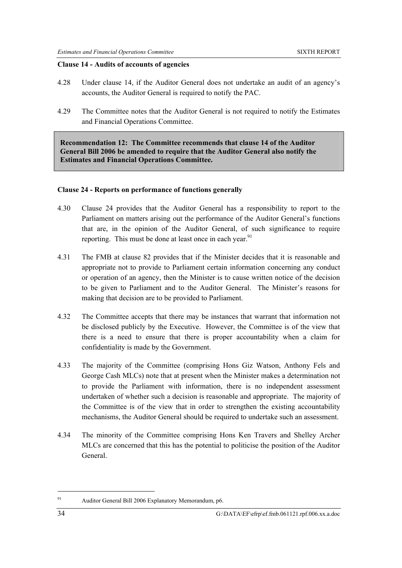### **Clause 14 - Audits of accounts of agencies**

- 4.28 Under clause 14, if the Auditor General does not undertake an audit of an agency's accounts, the Auditor General is required to notify the PAC.
- 4.29 The Committee notes that the Auditor General is not required to notify the Estimates and Financial Operations Committee.

**Recommendation 12: The Committee recommends that clause 14 of the Auditor General Bill 2006 be amended to require that the Auditor General also notify the Estimates and Financial Operations Committee.** 

### **Clause 24 - Reports on performance of functions generally**

- 4.30 Clause 24 provides that the Auditor General has a responsibility to report to the Parliament on matters arising out the performance of the Auditor General's functions that are, in the opinion of the Auditor General, of such significance to require reporting. This must be done at least once in each year. $91$
- 4.31 The FMB at clause 82 provides that if the Minister decides that it is reasonable and appropriate not to provide to Parliament certain information concerning any conduct or operation of an agency, then the Minister is to cause written notice of the decision to be given to Parliament and to the Auditor General. The Minister's reasons for making that decision are to be provided to Parliament.
- 4.32 The Committee accepts that there may be instances that warrant that information not be disclosed publicly by the Executive. However, the Committee is of the view that there is a need to ensure that there is proper accountability when a claim for confidentiality is made by the Government.
- 4.33 The majority of the Committee (comprising Hons Giz Watson, Anthony Fels and George Cash MLCs) note that at present when the Minister makes a determination not to provide the Parliament with information, there is no independent assessment undertaken of whether such a decision is reasonable and appropriate. The majority of the Committee is of the view that in order to strengthen the existing accountability mechanisms, the Auditor General should be required to undertake such an assessment.
- 4.34 The minority of the Committee comprising Hons Ken Travers and Shelley Archer MLCs are concerned that this has the potential to politicise the position of the Auditor General.

<sup>91</sup> Auditor General Bill 2006 Explanatory Memorandum, p6.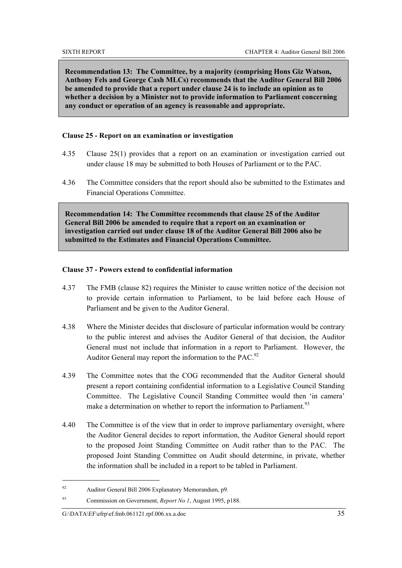**Recommendation 13: The Committee, by a majority (comprising Hons Giz Watson, Anthony Fels and George Cash MLCs) recommends that the Auditor General Bill 2006 be amended to provide that a report under clause 24 is to include an opinion as to whether a decision by a Minister not to provide information to Parliament concerning any conduct or operation of an agency is reasonable and appropriate.** 

### **Clause 25 - Report on an examination or investigation**

- 4.35 Clause 25(1) provides that a report on an examination or investigation carried out under clause 18 may be submitted to both Houses of Parliament or to the PAC.
- 4.36 The Committee considers that the report should also be submitted to the Estimates and Financial Operations Committee.

**Recommendation 14: The Committee recommends that clause 25 of the Auditor General Bill 2006 be amended to require that a report on an examination or investigation carried out under clause 18 of the Auditor General Bill 2006 also be submitted to the Estimates and Financial Operations Committee.** 

### **Clause 37 - Powers extend to confidential information**

- 4.37 The FMB (clause 82) requires the Minister to cause written notice of the decision not to provide certain information to Parliament, to be laid before each House of Parliament and be given to the Auditor General.
- 4.38 Where the Minister decides that disclosure of particular information would be contrary to the public interest and advises the Auditor General of that decision, the Auditor General must not include that information in a report to Parliament. However, the Auditor General may report the information to the PAC.<sup>92</sup>
- 4.39 The Committee notes that the COG recommended that the Auditor General should present a report containing confidential information to a Legislative Council Standing Committee. The Legislative Council Standing Committee would then 'in camera' make a determination on whether to report the information to Parliament.<sup>93</sup>
- 4.40 The Committee is of the view that in order to improve parliamentary oversight, where the Auditor General decides to report information, the Auditor General should report to the proposed Joint Standing Committee on Audit rather than to the PAC. The proposed Joint Standing Committee on Audit should determine, in private, whether the information shall be included in a report to be tabled in Parliament.

<sup>92</sup> Auditor General Bill 2006 Explanatory Memorandum, p9.

<sup>93</sup> Commission on Government, *Report No 1*, August 1995, p188.

 $G:\D{DATA\to\E\left\{\frac{fr}{m},061121\text{.rpf}.006.xx.a.doc}\right\}}$  35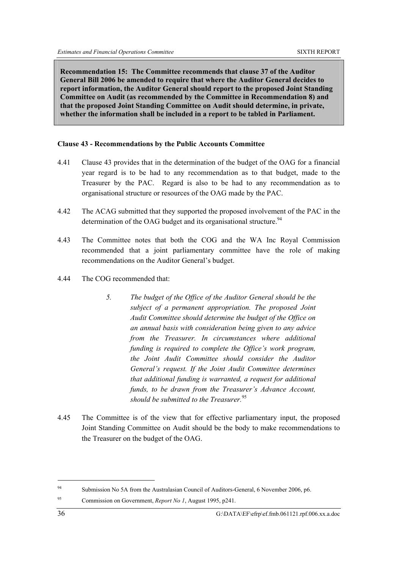**Recommendation 15: The Committee recommends that clause 37 of the Auditor General Bill 2006 be amended to require that where the Auditor General decides to report information, the Auditor General should report to the proposed Joint Standing Committee on Audit (as recommended by the Committee in Recommendation 8) and that the proposed Joint Standing Committee on Audit should determine, in private, whether the information shall be included in a report to be tabled in Parliament.** 

### **Clause 43 - Recommendations by the Public Accounts Committee**

- 4.41 Clause 43 provides that in the determination of the budget of the OAG for a financial year regard is to be had to any recommendation as to that budget, made to the Treasurer by the PAC. Regard is also to be had to any recommendation as to organisational structure or resources of the OAG made by the PAC.
- 4.42 The ACAG submitted that they supported the proposed involvement of the PAC in the determination of the OAG budget and its organisational structure.<sup>94</sup>
- 4.43 The Committee notes that both the COG and the WA Inc Royal Commission recommended that a joint parliamentary committee have the role of making recommendations on the Auditor General's budget.
- 4.44 The COG recommended that:
	- *5. The budget of the Office of the Auditor General should be the subject of a permanent appropriation. The proposed Joint Audit Committee should determine the budget of the Office on an annual basis with consideration being given to any advice from the Treasurer. In circumstances where additional funding is required to complete the Office's work program, the Joint Audit Committee should consider the Auditor General's request. If the Joint Audit Committee determines that additional funding is warranted, a request for additional funds, to be drawn from the Treasurer's Advance Account, should be submitted to the Treasurer.*<sup>95</sup>
- 4.45 The Committee is of the view that for effective parliamentary input, the proposed Joint Standing Committee on Audit should be the body to make recommendations to the Treasurer on the budget of the OAG.

95 Commission on Government, *Report No 1*, August 1995, p241.

<sup>94</sup> Submission No 5A from the Australasian Council of Auditors-General, 6 November 2006, p6.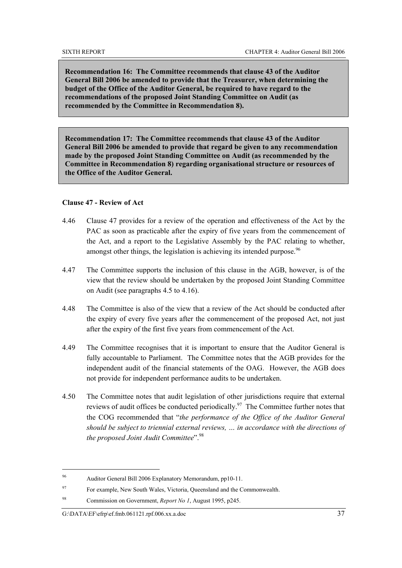**Recommendation 16: The Committee recommends that clause 43 of the Auditor General Bill 2006 be amended to provide that the Treasurer, when determining the budget of the Office of the Auditor General, be required to have regard to the recommendations of the proposed Joint Standing Committee on Audit (as recommended by the Committee in Recommendation 8).** 

**Recommendation 17: The Committee recommends that clause 43 of the Auditor General Bill 2006 be amended to provide that regard be given to any recommendation made by the proposed Joint Standing Committee on Audit (as recommended by the Committee in Recommendation 8) regarding organisational structure or resources of the Office of the Auditor General.** 

### **Clause 47 - Review of Act**

- 4.46 Clause 47 provides for a review of the operation and effectiveness of the Act by the PAC as soon as practicable after the expiry of five years from the commencement of the Act, and a report to the Legislative Assembly by the PAC relating to whether, amongst other things, the legislation is achieving its intended purpose.<sup>96</sup>
- 4.47 The Committee supports the inclusion of this clause in the AGB, however, is of the view that the review should be undertaken by the proposed Joint Standing Committee on Audit (see paragraphs 4.5 to 4.16).
- 4.48 The Committee is also of the view that a review of the Act should be conducted after the expiry of every five years after the commencement of the proposed Act, not just after the expiry of the first five years from commencement of the Act.
- 4.49 The Committee recognises that it is important to ensure that the Auditor General is fully accountable to Parliament. The Committee notes that the AGB provides for the independent audit of the financial statements of the OAG. However, the AGB does not provide for independent performance audits to be undertaken.
- 4.50 The Committee notes that audit legislation of other jurisdictions require that external reviews of audit offices be conducted periodically.<sup>97</sup> The Committee further notes that the COG recommended that "*the performance of the Office of the Auditor General should be subject to triennial external reviews, … in accordance with the directions of the proposed Joint Audit Committee*".<sup>98</sup>

<sup>96</sup> Auditor General Bill 2006 Explanatory Memorandum, pp10-11.

<sup>97</sup> For example, New South Wales, Victoria, Queensland and the Commonwealth.

<sup>98</sup> Commission on Government, *Report No 1*, August 1995, p245.

 $G:\D{ATA\to F\eftrightarrow f.fmb.061121.rpf.006.xx.a.doc}$  37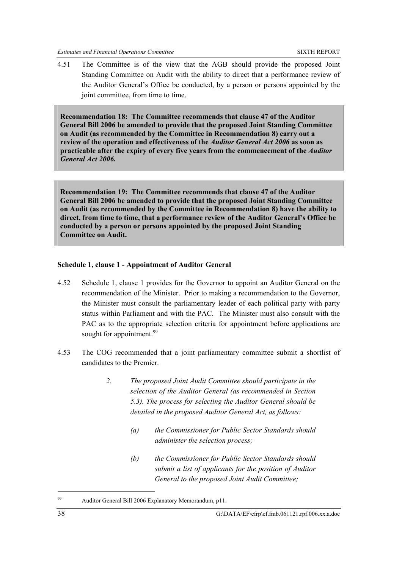4.51 The Committee is of the view that the AGB should provide the proposed Joint Standing Committee on Audit with the ability to direct that a performance review of the Auditor General's Office be conducted, by a person or persons appointed by the joint committee, from time to time.

**Recommendation 18: The Committee recommends that clause 47 of the Auditor General Bill 2006 be amended to provide that the proposed Joint Standing Committee on Audit (as recommended by the Committee in Recommendation 8) carry out a review of the operation and effectiveness of the** *Auditor General Act 2006* **as soon as practicable after the expiry of every five years from the commencement of the** *Auditor General Act 2006***.** 

**Recommendation 19: The Committee recommends that clause 47 of the Auditor General Bill 2006 be amended to provide that the proposed Joint Standing Committee on Audit (as recommended by the Committee in Recommendation 8) have the ability to direct, from time to time, that a performance review of the Auditor General's Office be conducted by a person or persons appointed by the proposed Joint Standing Committee on Audit.** 

### **Schedule 1, clause 1 - Appointment of Auditor General**

- 4.52 Schedule 1, clause 1 provides for the Governor to appoint an Auditor General on the recommendation of the Minister. Prior to making a recommendation to the Governor, the Minister must consult the parliamentary leader of each political party with party status within Parliament and with the PAC. The Minister must also consult with the PAC as to the appropriate selection criteria for appointment before applications are sought for appointment.<sup>99</sup>
- 4.53 The COG recommended that a joint parliamentary committee submit a shortlist of candidates to the Premier.
	- *2. The proposed Joint Audit Committee should participate in the selection of the Auditor General (as recommended in Section 5.3). The process for selecting the Auditor General should be detailed in the proposed Auditor General Act, as follows:* 
		- *(a) the Commissioner for Public Sector Standards should administer the selection process;*
		- *(b) the Commissioner for Public Sector Standards should submit a list of applicants for the position of Auditor General to the proposed Joint Audit Committee;*

<sup>99</sup> Auditor General Bill 2006 Explanatory Memorandum, p11.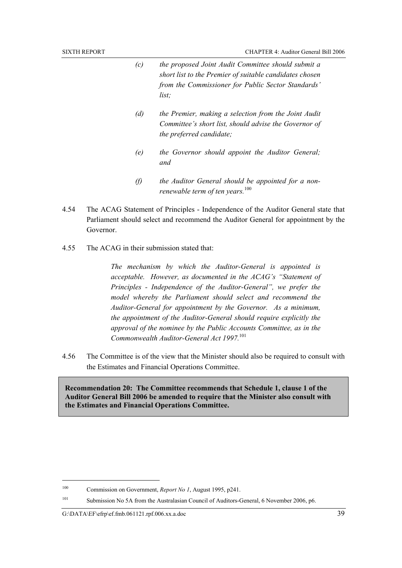| (c) | the proposed Joint Audit Committee should submit a<br>short list to the Premier of suitable candidates chosen<br>from the Commissioner for Public Sector Standards'<br>list; |
|-----|------------------------------------------------------------------------------------------------------------------------------------------------------------------------------|
| (d) | the Premier, making a selection from the Joint Audit<br>Committee's short list, should advise the Governor of<br>the preferred candidate;                                    |
| (e) | the Governor should appoint the Auditor General;<br>and                                                                                                                      |
| O)  | the Auditor General should be appointed for a non-<br>renewable term of ten years. $100$                                                                                     |

- 4.54 The ACAG Statement of Principles Independence of the Auditor General state that Parliament should select and recommend the Auditor General for appointment by the Governor.
- 4.55 The ACAG in their submission stated that:

*The mechanism by which the Auditor-General is appointed is acceptable. However, as documented in the ACAG's "Statement of Principles - Independence of the Auditor-General", we prefer the model whereby the Parliament should select and recommend the Auditor-General for appointment by the Governor. As a minimum, the appointment of the Auditor-General should require explicitly the approval of the nominee by the Public Accounts Committee, as in the Commonwealth Auditor-General Act 1997.*<sup>101</sup>

4.56 The Committee is of the view that the Minister should also be required to consult with the Estimates and Financial Operations Committee.

**Recommendation 20: The Committee recommends that Schedule 1, clause 1 of the Auditor General Bill 2006 be amended to require that the Minister also consult with the Estimates and Financial Operations Committee.** 

101 Submission No 5A from the Australasian Council of Auditors-General, 6 November 2006, p6.

<sup>100</sup> Commission on Government, *Report No 1*, August 1995, p241.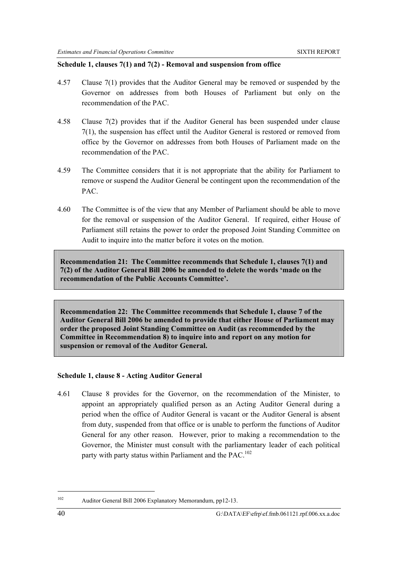### **Schedule 1, clauses 7(1) and 7(2) - Removal and suspension from office**

- 4.57 Clause 7(1) provides that the Auditor General may be removed or suspended by the Governor on addresses from both Houses of Parliament but only on the recommendation of the PAC.
- 4.58 Clause 7(2) provides that if the Auditor General has been suspended under clause 7(1), the suspension has effect until the Auditor General is restored or removed from office by the Governor on addresses from both Houses of Parliament made on the recommendation of the PAC.
- 4.59 The Committee considers that it is not appropriate that the ability for Parliament to remove or suspend the Auditor General be contingent upon the recommendation of the PAC.
- 4.60 The Committee is of the view that any Member of Parliament should be able to move for the removal or suspension of the Auditor General. If required, either House of Parliament still retains the power to order the proposed Joint Standing Committee on Audit to inquire into the matter before it votes on the motion.

**Recommendation 21: The Committee recommends that Schedule 1, clauses 7(1) and 7(2) of the Auditor General Bill 2006 be amended to delete the words 'made on the recommendation of the Public Accounts Committee'.** 

**Recommendation 22: The Committee recommends that Schedule 1, clause 7 of the Auditor General Bill 2006 be amended to provide that either House of Parliament may order the proposed Joint Standing Committee on Audit (as recommended by the Committee in Recommendation 8) to inquire into and report on any motion for suspension or removal of the Auditor General.** 

### **Schedule 1, clause 8 - Acting Auditor General**

4.61 Clause 8 provides for the Governor, on the recommendation of the Minister, to appoint an appropriately qualified person as an Acting Auditor General during a period when the office of Auditor General is vacant or the Auditor General is absent from duty, suspended from that office or is unable to perform the functions of Auditor General for any other reason. However, prior to making a recommendation to the Governor, the Minister must consult with the parliamentary leader of each political party with party status within Parliament and the PAC.<sup>102</sup>

<sup>102</sup> Auditor General Bill 2006 Explanatory Memorandum, pp12-13.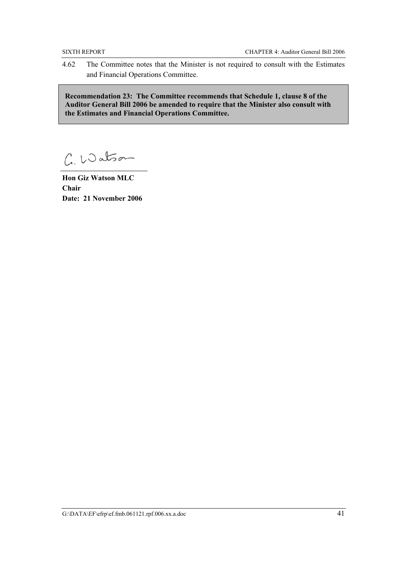4.62 The Committee notes that the Minister is not required to consult with the Estimates and Financial Operations Committee.

**Recommendation 23: The Committee recommends that Schedule 1, clause 8 of the Auditor General Bill 2006 be amended to require that the Minister also consult with the Estimates and Financial Operations Committee.** 

C. Watson

**Hon Giz Watson MLC Chair Date: 21 November 2006**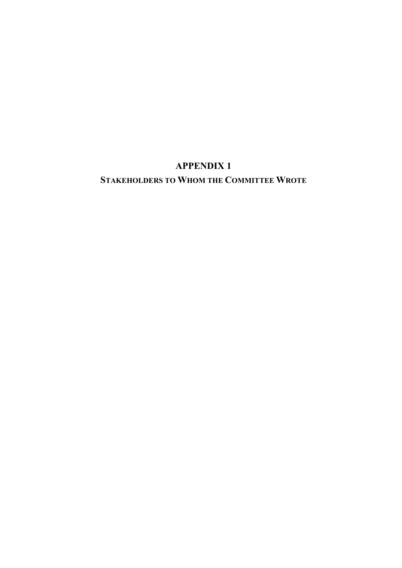### **STAKEHOLDERS TO WHOM THE COMMITTEE WROTE**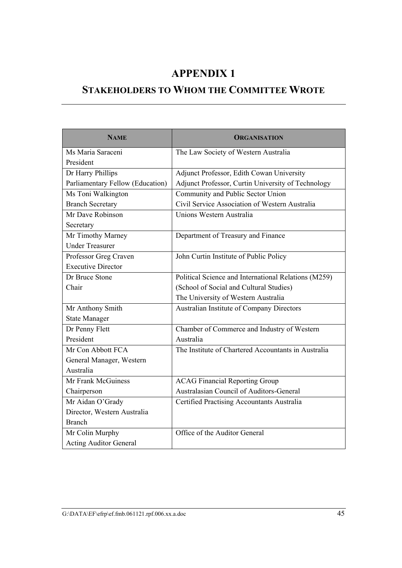# **STAKEHOLDERS TO WHOM THE COMMITTEE WROTE**

| <b>NAME</b>                      | <b>ORGANISATION</b>                                  |  |  |
|----------------------------------|------------------------------------------------------|--|--|
| Ms Maria Saraceni                | The Law Society of Western Australia                 |  |  |
| President                        |                                                      |  |  |
| Dr Harry Phillips                | Adjunct Professor, Edith Cowan University            |  |  |
| Parliamentary Fellow (Education) | Adjunct Professor, Curtin University of Technology   |  |  |
| Ms Toni Walkington               | Community and Public Sector Union                    |  |  |
| <b>Branch Secretary</b>          | Civil Service Association of Western Australia       |  |  |
| Mr Dave Robinson                 | Unions Western Australia                             |  |  |
| Secretary                        |                                                      |  |  |
| Mr Timothy Marney                | Department of Treasury and Finance                   |  |  |
| <b>Under Treasurer</b>           |                                                      |  |  |
| Professor Greg Craven            | John Curtin Institute of Public Policy               |  |  |
| <b>Executive Director</b>        |                                                      |  |  |
| Dr Bruce Stone                   | Political Science and International Relations (M259) |  |  |
| Chair                            | (School of Social and Cultural Studies)              |  |  |
|                                  | The University of Western Australia                  |  |  |
| Mr Anthony Smith                 | Australian Institute of Company Directors            |  |  |
| <b>State Manager</b>             |                                                      |  |  |
| Dr Penny Flett                   | Chamber of Commerce and Industry of Western          |  |  |
| President                        | Australia                                            |  |  |
| Mr Con Abbott FCA                | The Institute of Chartered Accountants in Australia  |  |  |
| General Manager, Western         |                                                      |  |  |
| Australia                        |                                                      |  |  |
| Mr Frank McGuiness               | <b>ACAG Financial Reporting Group</b>                |  |  |
| Chairperson                      | Australasian Council of Auditors-General             |  |  |
| Mr Aidan O'Grady                 | <b>Certified Practising Accountants Australia</b>    |  |  |
| Director, Western Australia      |                                                      |  |  |
| <b>Branch</b>                    |                                                      |  |  |
| Mr Colin Murphy                  | Office of the Auditor General                        |  |  |
| <b>Acting Auditor General</b>    |                                                      |  |  |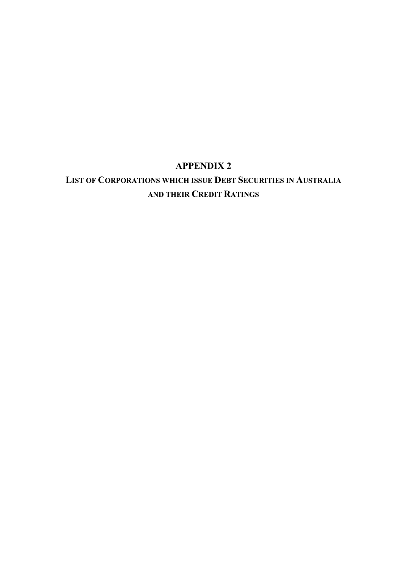## **LIST OF CORPORATIONS WHICH ISSUE DEBT SECURITIES IN AUSTRALIA AND THEIR CREDIT RATINGS**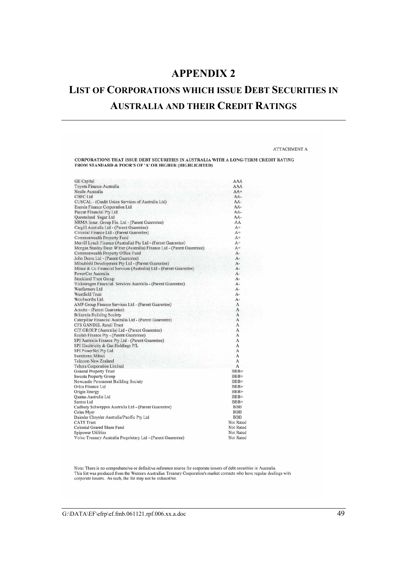# **LIST OF CORPORATIONS WHICH ISSUE DEBT SECURITIES IN AUSTRALIA AND THEIR CREDIT RATINGS**

ATTACHMENT A

| CORPORATIONS THAT ISSUE DEBT SECURITIES IN AUSTRALIA WITH A LONG-TERM CREDIT RATING<br><b>FROM STANDARD &amp; POOR'S OF 'A' OR HIGHER (HIGHLIGHTED)</b> |            |
|---------------------------------------------------------------------------------------------------------------------------------------------------------|------------|
|                                                                                                                                                         |            |
| <b>GE</b> Capital                                                                                                                                       | AAA        |
| Toyota Finance Australia                                                                                                                                | AAA        |
| Nestle Australia                                                                                                                                        | $AA+$      |
| CBFC Ltd                                                                                                                                                | $AA-$      |
| CUSCAL - (Credit Union Services of Australia Ltd)                                                                                                       | $AA-$      |
| Esanda Finance Corporation Ltd                                                                                                                          | $AA-$      |
| Paccar Financial Pty Ltd                                                                                                                                | $AA-$      |
| Queensland Sugar Ltd                                                                                                                                    | $AA-$      |
| NRMA Insur. Group Fin. Ltd - (Parent Guarentee)                                                                                                         | AA         |
| Cargill Australia Ltd - (Parent Guarentee)                                                                                                              | $A+$       |
| Colonial Finance Ltd - (Parent Guarentee)                                                                                                               | $A+$       |
| Commonwealth Property Fund                                                                                                                              | $A+$       |
| Merrill Lynch Finance (Australia) Pty Ltd - (Parent Guarentee)                                                                                          | $A+$       |
| Morgan Stanley Dean Witter (Australia) Finance Ltd - (Parent Guarentee)                                                                                 | $A+$       |
| Commonwealth Property Office Fund                                                                                                                       | $A-$       |
| John Deere Ltd - (Parent Guarentee)                                                                                                                     | $A-$       |
| Mitsubishi Development Pty Ltd - (Parent Guarentee)                                                                                                     | $A-$       |
| Mitsui & Co Financial Services (Australia) Ltd - (Parent Guarentee)                                                                                     | $A-$       |
| PowerCor Australia                                                                                                                                      | $A-$       |
| <b>Stockland Trust Group</b>                                                                                                                            | $A-$       |
| Volkswagen Financial Services Australia - (Parent Guarentee)                                                                                            | $A-$       |
| Wesfarmers Ltd                                                                                                                                          | $A-$       |
| Westfield Trust                                                                                                                                         | $A-$       |
| Woolworths Ltd.                                                                                                                                         | $A-$       |
| AMP Group Finance Services Ltd - (Parent Guarentee)                                                                                                     | A          |
| Arnotts - (Parent Guarentee)                                                                                                                            | A          |
| <b>Britannia Building Society</b>                                                                                                                       | A          |
| Caterpillar Financial Australia Ltd - (Parent Guarentee)                                                                                                | A          |
| CFS GANDEL Retail Trust                                                                                                                                 | A          |
| CIT GROUP (Australia) Ltd - (Parent Guarentee)                                                                                                          | A          |
| Ecolab Finance Pty - (Parent Guarentee)                                                                                                                 | A          |
| SPI Australia Finance Pty Ltd - (Parent Guarentee)                                                                                                      | А          |
| SPI Elecitricity & Gas Holdings P/L                                                                                                                     | А          |
| SPI PowerNet Pty Ltd                                                                                                                                    | А          |
| Sumitomo Mitsui                                                                                                                                         | A          |
| Telecom New Zealand                                                                                                                                     | A          |
| <b>Telstra Corporation Limited</b>                                                                                                                      | A          |
| <b>General Property Trust</b>                                                                                                                           | $BBB+$     |
| <b>Investa Property Group</b>                                                                                                                           | $BBB+$     |
| Newcastle Permanent Building Society                                                                                                                    | $BBB+$     |
| Orica Finance Ltd                                                                                                                                       | $BBB+$     |
| Origin Energy                                                                                                                                           | $BBB+$     |
| Qantas Australia Ltd                                                                                                                                    | $BBB+$     |
| Santos Ltd                                                                                                                                              | $BBB+$     |
| Cadbury Schweppes Australia Ltd - (Parent Guarentee)                                                                                                    | <b>BBB</b> |
| Coles Myer                                                                                                                                              | <b>BBB</b> |
| Daimler Chrysler Australia/Pacific Pty Ltd                                                                                                              | <b>BBB</b> |
| <b>CATS Trust</b>                                                                                                                                       | Not Rated  |
| Colonial Geared Share Fund                                                                                                                              | Not Rated  |
| <b>Spipower Utilities</b>                                                                                                                               | Not Rated  |
| Volvo Treasury Australia Proprietary Ltd - (Parent Guarentee)                                                                                           | Not Rated  |

Note: There is no comprehensive or definitive reference source for corporate issuers of debt securities in Australia. This list was produced from the Western Australian Treasury Corporation's market contacts who have regular dealings with corporate issuers. As such, the list may not be exhaustive.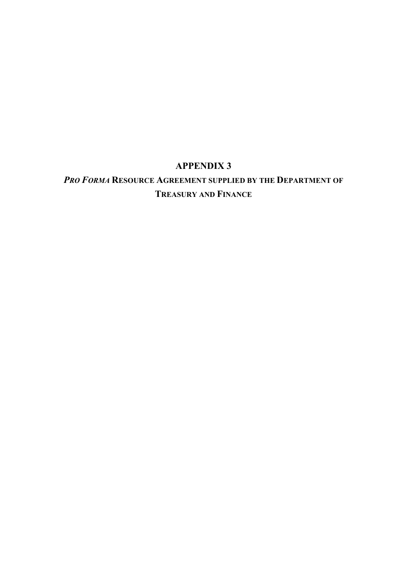# *PRO FORMA* **RESOURCE AGREEMENT SUPPLIED BY THE DEPARTMENT OF TREASURY AND FINANCE**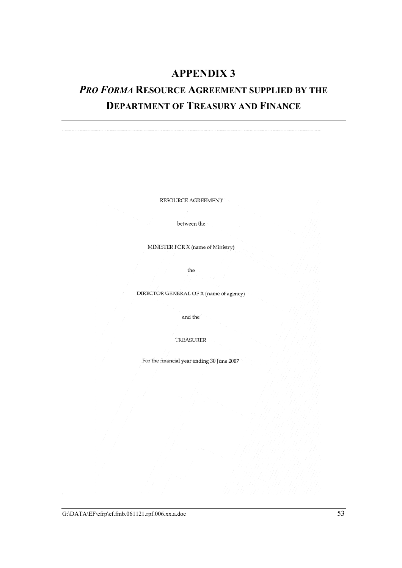# *PRO FORMA* **RESOURCE AGREEMENT SUPPLIED BY THE DEPARTMENT OF TREASURY AND FINANCE**

RESOURCE AGREEMENT

between the

MINISTER FOR X (name of Ministry)

the

DIRECTOR GENERAL OF X (name of agency)

and the

TREASURER

For the financial year ending 30 June 2007

G:\DATA\EF\efrp\ef.fmb.061121.rpf.006.xx.a.doc 53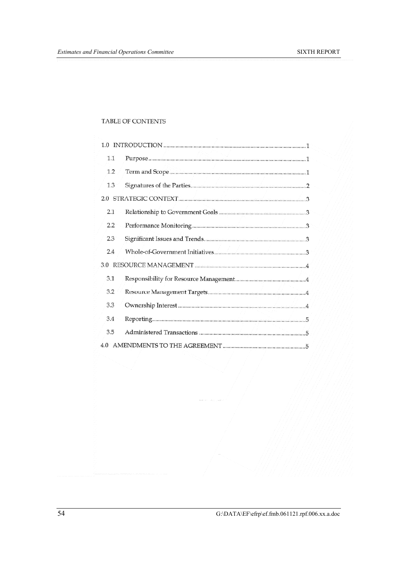### TABLE OF CONTENTS

| 1.1 |  |
|-----|--|
| 1.2 |  |
| 1.3 |  |
|     |  |
| 2.1 |  |
| 2.2 |  |
| 2.3 |  |
| 2.4 |  |
|     |  |
| 3.1 |  |
| 3.2 |  |
| 3.3 |  |
| 3.4 |  |
| 3.5 |  |
| 4.0 |  |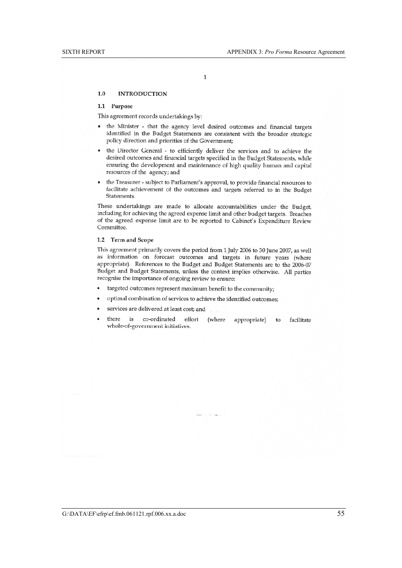$\mathbf 1$ 

#### $1.0$ **INTRODUCTION**

### 1.1 Purpose

This agreement records undertakings by:

- the Minister that the agency level desired outcomes and financial targets identified in the Budget Statements are consistent with the broader strategic policy direction and priorities of the Government;
- the Director General to efficiently deliver the services and to achieve the desired outcomes and financial targets specified in the Budget Statements, while ensuring the development and maintenance of high quality human and capital resources of the agency; and
- the Treasurer subject to Parliament's approval, to provide financial resources to  $\bullet$ facilitate achievement of the outcomes and targets referred to in the Budget Statements.

These undertakings are made to allocate accountabilities under the Budget, including for achieving the agreed expense limit and other budget targets. Breaches of the agreed expense limit are to be reported to Cabinet's Expenditure Review Committee.

### 1.2 Term and Scope

This agreement primarily covers the period from 1 July 2006 to 30 June 2007, as well as information on forecast outcomes and targets in future years (where appropriate). References to the Budget and Budget Statements are to the 2006-07 Budget and Budget Statements, unless the context implies otherwise. All parties recognise the importance of ongoing review to ensure:

- targeted outcomes represent maximum benefit to the community;
- optimal combination of services to achieve the identified outcomes;
- services are delivered at least cost; and
- there is co-ordinated effort (where appropriate) to facilitate whole-of-government initiatives.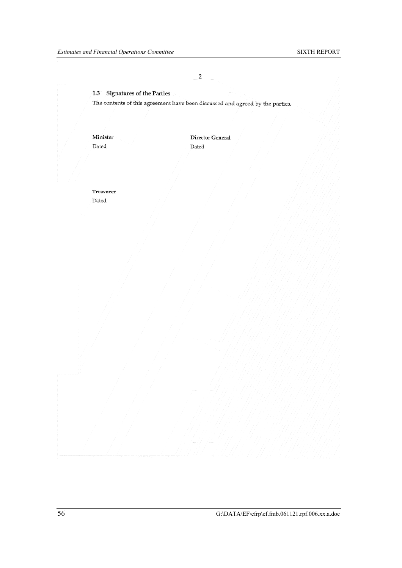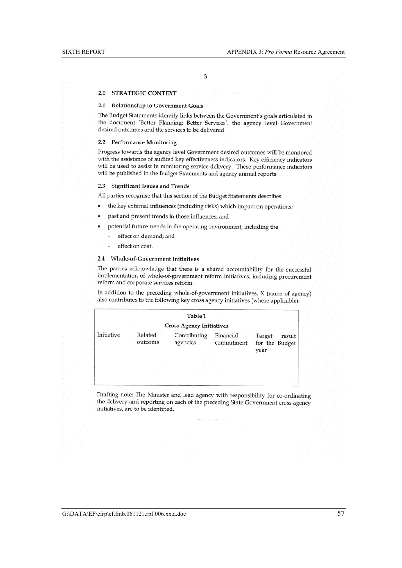3

### 2.0 STRATEGIC CONTEXT

#### 2.1 Relationship to Government Goals

The Budget Statements identify links between the Government's goals articulated in the document 'Better Planning: Better Services', the agency level Government desired outcomes and the services to be delivered.

#### 2.2 Performance Monitoring

Progress towards the agency level Government desired outcomes will be monitored with the assistance of audited key effectiveness indicators. Key efficiency indicators will be used to assist in monitoring service delivery. These performance indicators will be published in the Budget Statements and agency annual reports.

#### 2.3 Significant Issues and Trends

All parties recognise that this section of the Budget Statements describes:

- the key external influences (including risks) which impact on operations;
- past and present trends in those influences; and
- potential future trends in the operating environment, including the
	- effect on demand; and
	- $\overline{a}$ effect on cost.

### 2.4 Whole-of-Government Initiatives

The parties acknowledge that there is a shared accountability for the successful implementation of whole-of-government reform initiatives, including procurement reform and corporate services reform.

In addition to the preceding whole-of-government initiatives,  $X$  (name of agency) also contributes to the following key cross agency initiatives (where applicable):

|            |                    | Table 1                         |                         |                |                          |
|------------|--------------------|---------------------------------|-------------------------|----------------|--------------------------|
|            |                    | <b>Cross Agency Initiatives</b> |                         |                |                          |
| Initiative | Related<br>outcome | Contributing<br>agencies        | Financial<br>commitment | Target<br>year | result<br>for the Budget |
|            |                    |                                 |                         |                |                          |

Drafting note: The Minister and lead agency with responsibility for co-ordinating the delivery and reporting on each of the preceding State Government cross agency initiatives, are to be identified.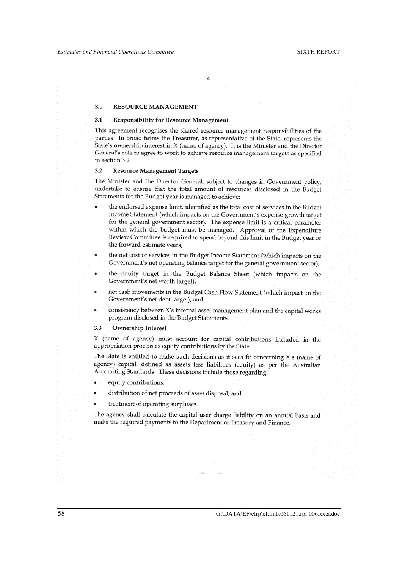$\overline{4}$ 

#### $3.0$ **RESOURCE MANAGEMENT**

#### $3.1$ **Responsibility for Resource Management**

This agreement recognises the shared resource management responsibilities of the parties. In broad terms the Treasurer, as representative of the State, represents the State's ownership interest in  $X$  (name of agency). It is the Minister and the Director General's role to agree to work to achieve resource management targets as specified in section 3.2.

#### $3.2$ **Resource Management Targets**

The Minister and the Director General, subject to changes in Government policy, undertake to ensure that the total amount of resources disclosed in the Budget Statements for the Budget year is managed to achieve:

- the endorsed expense limit, identified as the total cost of services in the Budget Income Statement (which impacts on the Government's expense growth target for the general government sector). The expense limit is a critical parameter within which the budget must be managed. Approval of the Expenditure Review Committee is required to spend beyond this limit in the Budget year or the forward estimate years;
- the net cost of services in the Budget Income Statement (which impacts on the Government's net operating balance target for the general government sector);
- the equity target in the Budget Balance Sheet (which impacts on the Government's net worth target);
- net cash movements in the Budget Cash Flow Statement (which impact on the Government's net debt target); and
- consistency between X's internal asset management plan and the capital works program disclosed in the Budget Statements.

#### $3.3$ **Ownership Interest**

X (name of agency) must account for capital contributions included in the appropriation process as equity contributions by the State.

The State is entitled to make such decisions as it sees fit concerning X's (name of agency) capital, defined as assets less liabilities (equity) as per the Australian Accounting Standards. These decisions include those regarding:

- equity contributions;
- distribution of net proceeds of asset disposal; and
- treatment of operating surpluses.

The agency shall calculate the capital user charge liability on an annual basis and make the required payments to the Department of Treasury and Finance.